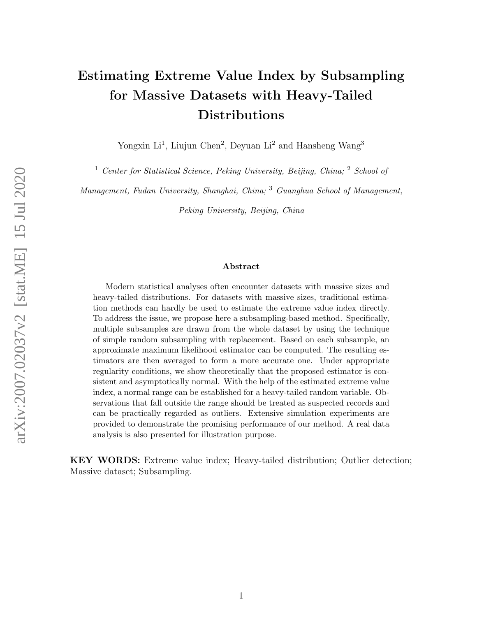# Estimating Extreme Value Index by Subsampling for Massive Datasets with Heavy-Tailed Distributions

Yongxin Li<sup>1</sup>, Liujun Chen<sup>2</sup>, Deyuan Li<sup>2</sup> and Hansheng Wang<sup>3</sup>

<sup>1</sup> Center for Statistical Science, Peking University, Beijing, China;  $^2$  School of

Management, Fudan University, Shanghai, China; <sup>3</sup> Guanghua School of Management,

Peking University, Beijing, China

#### Abstract

Modern statistical analyses often encounter datasets with massive sizes and heavy-tailed distributions. For datasets with massive sizes, traditional estimation methods can hardly be used to estimate the extreme value index directly. To address the issue, we propose here a subsampling-based method. Specifically, multiple subsamples are drawn from the whole dataset by using the technique of simple random subsampling with replacement. Based on each subsample, an approximate maximum likelihood estimator can be computed. The resulting estimators are then averaged to form a more accurate one. Under appropriate regularity conditions, we show theoretically that the proposed estimator is consistent and asymptotically normal. With the help of the estimated extreme value index, a normal range can be established for a heavy-tailed random variable. Observations that fall outside the range should be treated as suspected records and can be practically regarded as outliers. Extensive simulation experiments are provided to demonstrate the promising performance of our method. A real data analysis is also presented for illustration purpose.

KEY WORDS: Extreme value index; Heavy-tailed distribution; Outlier detection; Massive dataset; Subsampling.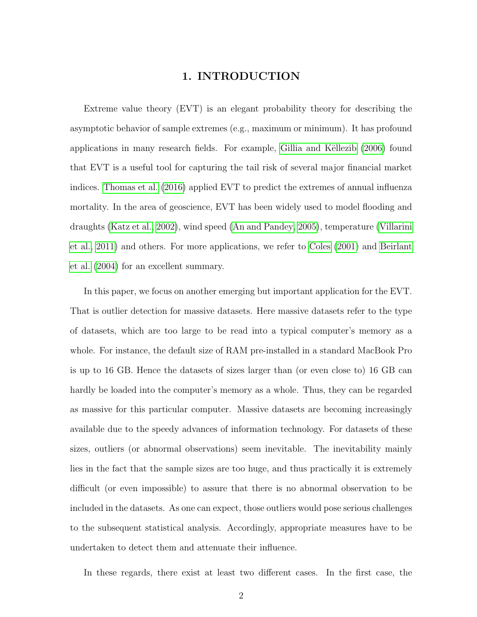## 1. INTRODUCTION

Extreme value theory (EVT) is an elegant probability theory for describing the asymptotic behavior of sample extremes (e.g., maximum or minimum). It has profound applications in many research fields. For example, Gillia and Këllezib (2006) found that EVT is a useful tool for capturing the tail risk of several major financial market indices. [Thomas et al. \(2016\)](#page-34-0) applied EVT to predict the extremes of annual influenza mortality. In the area of geoscience, EVT has been widely used to model flooding and draughts [\(Katz et al., 2002\)](#page-32-1), wind speed [\(An and Pandey, 2005\)](#page-31-0), temperature [\(Villarini](#page-34-1) [et al., 2011\)](#page-34-1) and others. For more applications, we refer to [Coles \(2001\)](#page-31-1) and [Beirlant](#page-31-2) [et al. \(2004\)](#page-31-2) for an excellent summary.

In this paper, we focus on another emerging but important application for the EVT. That is outlier detection for massive datasets. Here massive datasets refer to the type of datasets, which are too large to be read into a typical computer's memory as a whole. For instance, the default size of RAM pre-installed in a standard MacBook Pro is up to 16 GB. Hence the datasets of sizes larger than (or even close to) 16 GB can hardly be loaded into the computer's memory as a whole. Thus, they can be regarded as massive for this particular computer. Massive datasets are becoming increasingly available due to the speedy advances of information technology. For datasets of these sizes, outliers (or abnormal observations) seem inevitable. The inevitability mainly lies in the fact that the sample sizes are too huge, and thus practically it is extremely difficult (or even impossible) to assure that there is no abnormal observation to be included in the datasets. As one can expect, those outliers would pose serious challenges to the subsequent statistical analysis. Accordingly, appropriate measures have to be undertaken to detect them and attenuate their influence.

In these regards, there exist at least two different cases. In the first case, the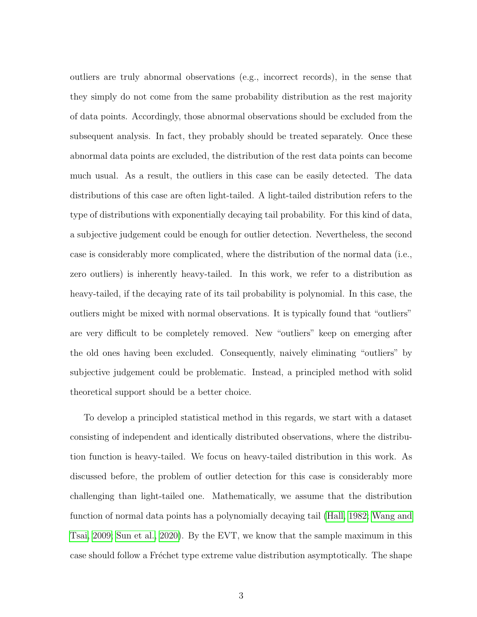outliers are truly abnormal observations (e.g., incorrect records), in the sense that they simply do not come from the same probability distribution as the rest majority of data points. Accordingly, those abnormal observations should be excluded from the subsequent analysis. In fact, they probably should be treated separately. Once these abnormal data points are excluded, the distribution of the rest data points can become much usual. As a result, the outliers in this case can be easily detected. The data distributions of this case are often light-tailed. A light-tailed distribution refers to the type of distributions with exponentially decaying tail probability. For this kind of data, a subjective judgement could be enough for outlier detection. Nevertheless, the second case is considerably more complicated, where the distribution of the normal data (i.e., zero outliers) is inherently heavy-tailed. In this work, we refer to a distribution as heavy-tailed, if the decaying rate of its tail probability is polynomial. In this case, the outliers might be mixed with normal observations. It is typically found that "outliers" are very difficult to be completely removed. New "outliers" keep on emerging after the old ones having been excluded. Consequently, naively eliminating "outliers" by subjective judgement could be problematic. Instead, a principled method with solid theoretical support should be a better choice.

To develop a principled statistical method in this regards, we start with a dataset consisting of independent and identically distributed observations, where the distribution function is heavy-tailed. We focus on heavy-tailed distribution in this work. As discussed before, the problem of outlier detection for this case is considerably more challenging than light-tailed one. Mathematically, we assume that the distribution function of normal data points has a polynomially decaying tail [\(Hall, 1982;](#page-32-2) [Wang and](#page-34-2) [Tsai, 2009;](#page-34-2) [Sun et al., 2020\)](#page-34-3). By the EVT, we know that the sample maximum in this case should follow a Fréchet type extreme value distribution asymptotically. The shape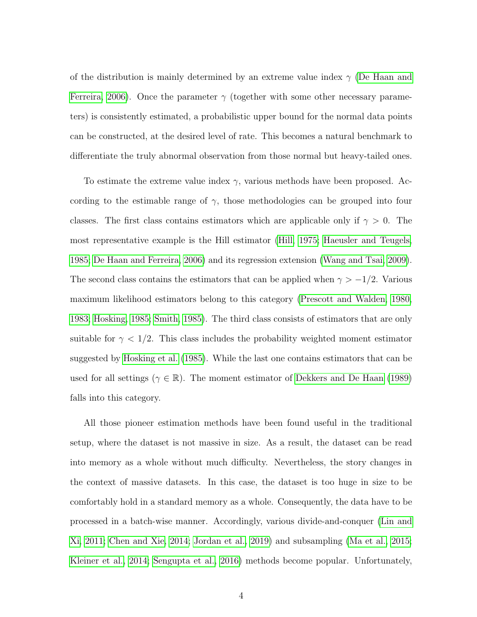of the distribution is mainly determined by an extreme value index  $\gamma$  [\(De Haan and](#page-31-3) [Ferreira, 2006\)](#page-31-3). Once the parameter  $\gamma$  (together with some other necessary parameters) is consistently estimated, a probabilistic upper bound for the normal data points can be constructed, at the desired level of rate. This becomes a natural benchmark to differentiate the truly abnormal observation from those normal but heavy-tailed ones.

To estimate the extreme value index  $\gamma$ , various methods have been proposed. According to the estimable range of  $\gamma$ , those methodologies can be grouped into four classes. The first class contains estimators which are applicable only if  $\gamma > 0$ . The most representative example is the Hill estimator [\(Hill, 1975;](#page-32-3) [Haeusler and Teugels,](#page-32-4) [1985;](#page-32-4) [De Haan and Ferreira, 2006\)](#page-31-3) and its regression extension [\(Wang and Tsai, 2009\)](#page-34-2). The second class contains the estimators that can be applied when  $\gamma > -1/2$ . Various maximum likelihood estimators belong to this category [\(Prescott and Walden, 1980,](#page-33-0) [1983;](#page-33-1) [Hosking, 1985;](#page-32-5) [Smith, 1985\)](#page-33-2). The third class consists of estimators that are only suitable for  $\gamma < 1/2$ . This class includes the probability weighted moment estimator suggested by [Hosking et al. \(1985\)](#page-32-6). While the last one contains estimators that can be used for all settings ( $\gamma \in \mathbb{R}$ ). The moment estimator of [Dekkers and De Haan \(1989\)](#page-31-4) falls into this category.

All those pioneer estimation methods have been found useful in the traditional setup, where the dataset is not massive in size. As a result, the dataset can be read into memory as a whole without much difficulty. Nevertheless, the story changes in the context of massive datasets. In this case, the dataset is too huge in size to be comfortably hold in a standard memory as a whole. Consequently, the data have to be processed in a batch-wise manner. Accordingly, various divide-and-conquer [\(Lin and](#page-33-3) [Xi, 2011;](#page-33-3) [Chen and Xie, 2014;](#page-31-5) [Jordan et al., 2019\)](#page-32-7) and subsampling [\(Ma et al., 2015;](#page-33-4) [Kleiner et al., 2014;](#page-32-8) [Sengupta et al., 2016\)](#page-33-5) methods become popular. Unfortunately,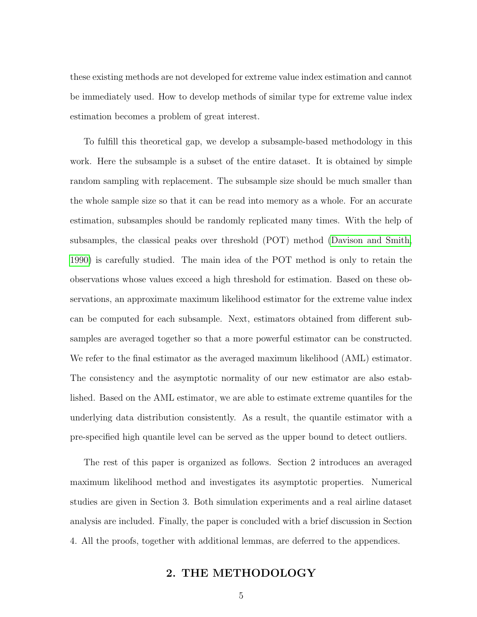these existing methods are not developed for extreme value index estimation and cannot be immediately used. How to develop methods of similar type for extreme value index estimation becomes a problem of great interest.

To fulfill this theoretical gap, we develop a subsample-based methodology in this work. Here the subsample is a subset of the entire dataset. It is obtained by simple random sampling with replacement. The subsample size should be much smaller than the whole sample size so that it can be read into memory as a whole. For an accurate estimation, subsamples should be randomly replicated many times. With the help of subsamples, the classical peaks over threshold (POT) method [\(Davison and Smith,](#page-31-6) [1990\)](#page-31-6) is carefully studied. The main idea of the POT method is only to retain the observations whose values exceed a high threshold for estimation. Based on these observations, an approximate maximum likelihood estimator for the extreme value index can be computed for each subsample. Next, estimators obtained from different subsamples are averaged together so that a more powerful estimator can be constructed. We refer to the final estimator as the averaged maximum likelihood (AML) estimator. The consistency and the asymptotic normality of our new estimator are also established. Based on the AML estimator, we are able to estimate extreme quantiles for the underlying data distribution consistently. As a result, the quantile estimator with a pre-specified high quantile level can be served as the upper bound to detect outliers.

The rest of this paper is organized as follows. Section 2 introduces an averaged maximum likelihood method and investigates its asymptotic properties. Numerical studies are given in Section 3. Both simulation experiments and a real airline dataset analysis are included. Finally, the paper is concluded with a brief discussion in Section 4. All the proofs, together with additional lemmas, are deferred to the appendices.

## 2. THE METHODOLOGY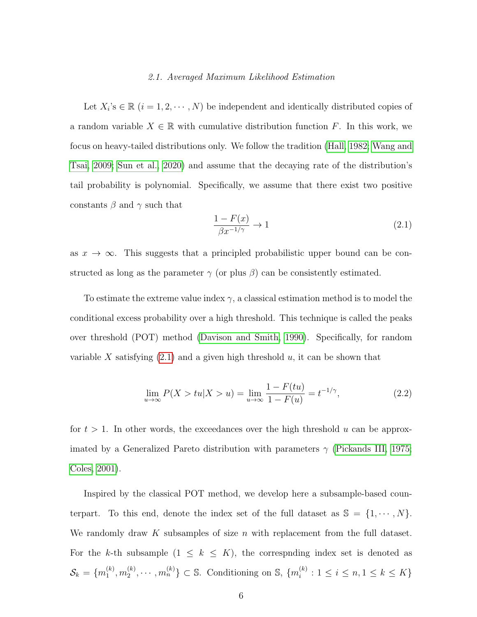#### 2.1. Averaged Maximum Likelihood Estimation

Let  $X_i$ 's  $\in \mathbb{R}$   $(i = 1, 2, \dots, N)$  be independent and identically distributed copies of a random variable  $X \in \mathbb{R}$  with cumulative distribution function F. In this work, we focus on heavy-tailed distributions only. We follow the tradition [\(Hall, 1982;](#page-32-2) [Wang and](#page-34-2) [Tsai, 2009;](#page-34-2) [Sun et al., 2020\)](#page-34-3) and assume that the decaying rate of the distribution's tail probability is polynomial. Specifically, we assume that there exist two positive constants  $\beta$  and  $\gamma$  such that

<span id="page-5-0"></span>
$$
\frac{1 - F(x)}{\beta x^{-1/\gamma}} \to 1\tag{2.1}
$$

as  $x \to \infty$ . This suggests that a principled probabilistic upper bound can be constructed as long as the parameter  $\gamma$  (or plus  $\beta$ ) can be consistently estimated.

To estimate the extreme value index  $\gamma$ , a classical estimation method is to model the conditional excess probability over a high threshold. This technique is called the peaks over threshold (POT) method [\(Davison and Smith, 1990\)](#page-31-6). Specifically, for random variable X satisfying  $(2.1)$  and a given high threshold u, it can be shown that

<span id="page-5-1"></span>
$$
\lim_{u \to \infty} P(X > tu | X > u) = \lim_{u \to \infty} \frac{1 - F(tu)}{1 - F(u)} = t^{-1/\gamma},
$$
\n(2.2)

for  $t > 1$ . In other words, the exceedances over the high threshold u can be approximated by a Generalized Pareto distribution with parameters  $\gamma$  [\(Pickands III, 1975;](#page-33-6) [Coles, 2001\)](#page-31-1).

Inspired by the classical POT method, we develop here a subsample-based counterpart. To this end, denote the index set of the full dataset as  $\mathbb{S} = \{1, \dots, N\}.$ We randomly draw K subsamples of size n with replacement from the full dataset. For the k-th subsample  $(1 \leq k \leq K)$ , the correspnding index set is denoted as  $\mathcal{S}_k = \{m_1^{(k)}$  $\binom{(k)}{1},m_2^{(k)}$  $\{a_2^{(k)}, \cdots, m_n^{(k)}\} \subset \mathbb{S}$ . Conditioning on  $\mathbb{S}$ ,  $\{m_i^{(k)}\}$  $i_i^{(k)}$ :  $1 \leq i \leq n, 1 \leq k \leq K$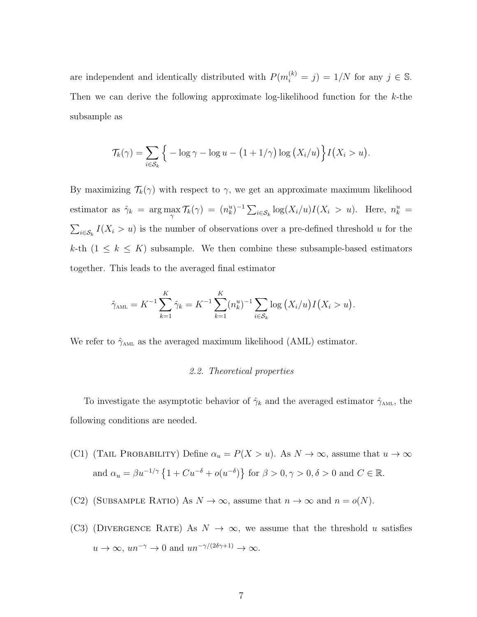are independent and identically distributed with  $P(m_i^{(k)} = j) = 1/N$  for any  $j \in \mathbb{S}$ . Then we can derive the following approximate log-likelihood function for the  $k$ -the subsample as

$$
\mathcal{T}_{k}(\gamma) = \sum_{i \in \mathcal{S}_{k}} \Big\{ -\log \gamma - \log u - \big(1 + 1/\gamma\big) \log \big(X_{i}/u\big) \Big\} I\big(X_{i} > u\big).
$$

By maximizing  $\mathcal{T}_k(\gamma)$  with respect to  $\gamma$ , we get an approximate maximum likelihood estimator as  $\hat{\gamma}_k = \arg \max_{\gamma} \mathcal{T}_k(\gamma) = (n_k^u)^{-1} \sum_{i \in \mathcal{S}_k} \log(X_i/u) I(X_i > u)$ . Here,  $n_k^u =$  $\sum_{i \in \mathcal{S}_k} I(X_i > u)$  is the number of observations over a pre-defined threshold u for the k-th  $(1 \leq k \leq K)$  subsample. We then combine these subsample-based estimators together. This leads to the averaged final estimator

$$
\hat{\gamma}_{\text{AML}} = K^{-1} \sum_{k=1}^{K} \hat{\gamma}_k = K^{-1} \sum_{k=1}^{K} (n_k^u)^{-1} \sum_{i \in S_k} \log (X_i/u) I(X_i > u).
$$

We refer to  $\hat{\gamma}_{\textsc{ant}}$  as the averaged maximum likelihood (AML) estimator.

#### 2.2. Theoretical properties

To investigate the asymptotic behavior of  $\hat{\gamma}_k$  and the averaged estimator  $\hat{\gamma}_{AML}$ , the following conditions are needed.

- (C1) (TAIL PROBABILITY) Define  $\alpha_u = P(X > u)$ . As  $N \to \infty$ , assume that  $u \to \infty$ and  $\alpha_u = \beta u^{-1/\gamma} \left\{ 1 + Cu^{-\delta} + o(u^{-\delta}) \right\}$  for  $\beta > 0, \gamma > 0, \delta > 0$  and  $C \in \mathbb{R}$ .
- (C2) (SUBSAMPLE RATIO) As  $N \to \infty$ , assume that  $n \to \infty$  and  $n = o(N)$ .
- (C3) (DIVERGENCE RATE) As  $N \to \infty$ , we assume that the threshold u satisfies  $u \to \infty$ ,  $un^{-\gamma} \to 0$  and  $un^{-\gamma/(2\delta\gamma+1)} \to \infty$ .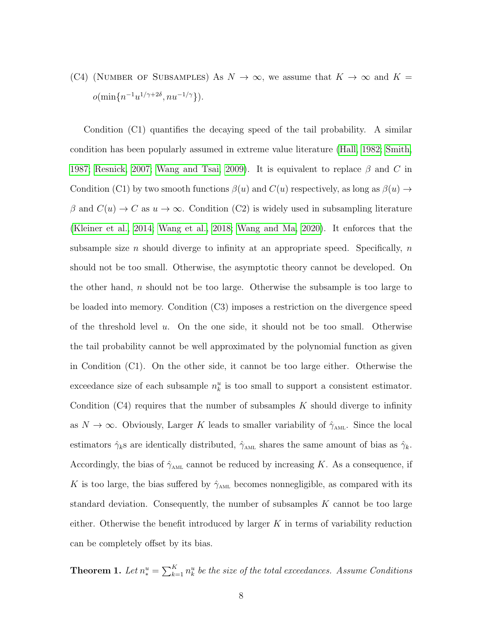(C4) (NUMBER OF SUBSAMPLES) As  $N \to \infty$ , we assume that  $K \to \infty$  and  $K =$  $o(\min\{n^{-1}u^{1/\gamma+2\delta}, nu^{-1/\gamma}\}).$ 

Condition (C1) quantifies the decaying speed of the tail probability. A similar condition has been popularly assumed in extreme value literature [\(Hall, 1982;](#page-32-2) [Smith,](#page-33-7) [1987;](#page-33-7) [Resnick, 2007;](#page-33-8) [Wang and Tsai, 2009\)](#page-34-2). It is equivalent to replace  $\beta$  and C in Condition (C1) by two smooth functions  $\beta(u)$  and  $C(u)$  respectively, as long as  $\beta(u) \rightarrow$  $\beta$  and  $C(u) \to C$  as  $u \to \infty$ . Condition (C2) is widely used in subsampling literature [\(Kleiner et al., 2014;](#page-32-8) [Wang et al., 2018;](#page-34-4) [Wang and Ma, 2020\)](#page-34-5). It enforces that the subsample size n should diverge to infinity at an appropriate speed. Specifically,  $n$ should not be too small. Otherwise, the asymptotic theory cannot be developed. On the other hand, n should not be too large. Otherwise the subsample is too large to be loaded into memory. Condition (C3) imposes a restriction on the divergence speed of the threshold level u. On the one side, it should not be too small. Otherwise the tail probability cannot be well approximated by the polynomial function as given in Condition (C1). On the other side, it cannot be too large either. Otherwise the exceedance size of each subsample  $n_k^u$  is too small to support a consistent estimator. Condition  $(C_4)$  requires that the number of subsamples K should diverge to infinity as  $N \to \infty$ . Obviously, Larger K leads to smaller variability of  $\hat{\gamma}_{AML}$ . Since the local estimators  $\hat{\gamma}_k$ s are identically distributed,  $\hat{\gamma}_{AML}$  shares the same amount of bias as  $\hat{\gamma}_k$ . Accordingly, the bias of  $\hat{\gamma}_{AML}$  cannot be reduced by increasing K. As a consequence, if  $K$  is too large, the bias suffered by  $\hat{\gamma}_{\text{\tiny AML}}$  becomes nonnegligible, as compared with its standard deviation. Consequently, the number of subsamples  $K$  cannot be too large either. Otherwise the benefit introduced by larger  $K$  in terms of variability reduction can be completely offset by its bias.

<span id="page-7-0"></span>**Theorem 1.** Let  $n_*^u = \sum_{k=1}^K n_k^u$  be the size of the total exceedances. Assume Conditions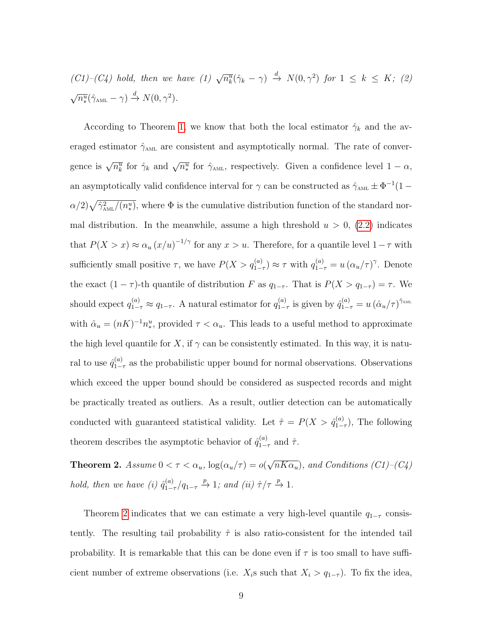$(C1)$ - $(C4)$  hold, then we have  $(1)$   $\sqrt{n_k^u}(\hat{\gamma}_k - \gamma) \stackrel{d}{\rightarrow} N(0, \gamma^2)$  for  $1 \leq k \leq K$ ; (2)  $\sqrt{n_{*}^u}(\hat{\gamma}_{\text{AML}} - \gamma) \stackrel{d}{\rightarrow} N(0, \gamma^2).$ 

According to Theorem [1,](#page-7-0) we know that both the local estimator  $\hat{\gamma}_k$  and the averaged estimator  $\hat{\gamma}_{AML}$  are consistent and asymptotically normal. The rate of convergence is  $\sqrt{n_k^u}$  for  $\hat{\gamma}_k$  and  $\sqrt{n_*^u}$  for  $\hat{\gamma}_{\text{AML}}$ , respectively. Given a confidence level  $1 - \alpha$ , an asymptotically valid confidence interval for  $\gamma$  can be constructed as  $\hat{\gamma}_{AML} \pm \Phi^{-1}(1 \alpha/2\sqrt{\hat{\gamma}^2_{\text{AML}}/(n^u_*)}$ , where  $\Phi$  is the cumulative distribution function of the standard normal distribution. In the meanwhile, assume a high threshold  $u > 0$ , [\(2.2\)](#page-5-1) indicates that  $P(X > x) \approx \alpha_u (x/u)^{-1/\gamma}$  for any  $x > u$ . Therefore, for a quantile level  $1 - \tau$  with sufficiently small positive  $\tau$ , we have  $P(X > q_{1-\tau}^{(a)}) \approx \tau$  with  $q_{1-\tau}^{(a)} = u(\alpha_u/\tau)^\gamma$ . Denote the exact  $(1 - \tau)$ -th quantile of distribution F as  $q_{1-\tau}$ . That is  $P(X > q_{1-\tau}) = \tau$ . We should expect  $q_{1-\tau}^{(a)} \approx q_{1-\tau}$ . A natural estimator for  $q_{1-\tau}^{(a)}$  $\hat{q}_{1-\tau}^{(a)}$  is given by  $\hat{q}_{1-\tau}^{(a)} = u \left( \hat{\alpha}_u/\tau \right)^{\hat{\gamma}_{\text{AML}}}$ with  $\hat{\alpha}_u = (nK)^{-1} n_*^u$ , provided  $\tau < \alpha_u$ . This leads to a useful method to approximate the high level quantile for X, if  $\gamma$  can be consistently estimated. In this way, it is natural to use  $\hat{q}_1^{(a)}$  $\int_{1-\tau}^{(a)}$  as the probabilistic upper bound for normal observations. Observations which exceed the upper bound should be considered as suspected records and might be practically treated as outliers. As a result, outlier detection can be automatically conducted with guaranteed statistical validity. Let  $\hat{\tau} = P(X > \hat{q}_{1-}^{(a)})$  $\prod_{1-\tau}^{(a)}$ , The following theorem describes the asymptotic behavior of  $\hat{q}_{1-}^{(a)}$  $\int_{1-\tau}^{(a)}$  and  $\hat{\tau}$ .

<span id="page-8-0"></span>**Theorem 2.** Assume  $0 < \tau < \alpha_u$ ,  $\log(\alpha_u/\tau) = o(\tau)$ √  $\overline{nK\alpha_u}$ ), and Conditions (C1)–(C4) hold, then we have (i)  $\hat{q}_{1-}^{(a)}$  $\int_{1-\tau}^{(a)}(q_{1-\tau} \xrightarrow{p} 1; \text{ and } (\text{ii}) \hat{\tau}/\tau \xrightarrow{p} 1.$ 

Theorem [2](#page-8-0) indicates that we can estimate a very high-level quantile  $q_{1-\tau}$  consistently. The resulting tail probability  $\hat{\tau}$  is also ratio-consistent for the intended tail probability. It is remarkable that this can be done even if  $\tau$  is too small to have sufficient number of extreme observations (i.e.  $X_i$ s such that  $X_i > q_{1-\tau}$ ). To fix the idea,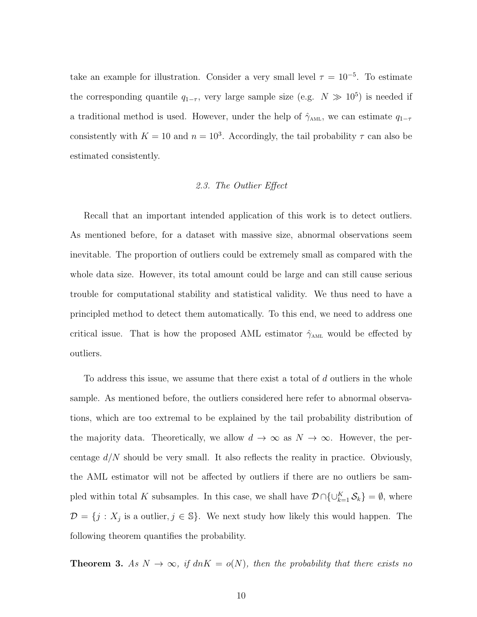take an example for illustration. Consider a very small level  $\tau = 10^{-5}$ . To estimate the corresponding quantile  $q_{1-\tau}$ , very large sample size (e.g.  $N \gg 10^5$ ) is needed if a traditional method is used. However, under the help of  $\hat{\gamma}_{AML}$ , we can estimate  $q_{1-\tau}$ consistently with  $K = 10$  and  $n = 10<sup>3</sup>$ . Accordingly, the tail probability  $\tau$  can also be estimated consistently.

#### 2.3. The Outlier Effect

Recall that an important intended application of this work is to detect outliers. As mentioned before, for a dataset with massive size, abnormal observations seem inevitable. The proportion of outliers could be extremely small as compared with the whole data size. However, its total amount could be large and can still cause serious trouble for computational stability and statistical validity. We thus need to have a principled method to detect them automatically. To this end, we need to address one critical issue. That is how the proposed AML estimator  $\hat{\gamma}_{AML}$  would be effected by outliers.

To address this issue, we assume that there exist a total of d outliers in the whole sample. As mentioned before, the outliers considered here refer to abnormal observations, which are too extremal to be explained by the tail probability distribution of the majority data. Theoretically, we allow  $d \to \infty$  as  $N \to \infty$ . However, the percentage  $d/N$  should be very small. It also reflects the reality in practice. Obviously, the AML estimator will not be affected by outliers if there are no outliers be sampled within total K subsamples. In this case, we shall have  $\mathcal{D} \cap \{\cup_{k=1}^K \mathcal{S}_k\} = \emptyset$ , where  $\mathcal{D} = \{j : X_j \text{ is a outlier}, j \in \mathbb{S}\}.$  We next study how likely this would happen. The following theorem quantifies the probability.

<span id="page-9-0"></span>**Theorem 3.** As  $N \to \infty$ , if  $dnK = o(N)$ , then the probability that there exists no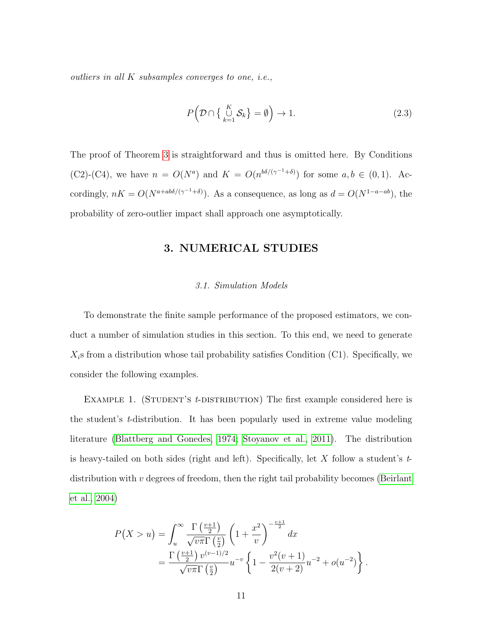outliers in all K subsamples converges to one, i.e.,

$$
P\left(\mathcal{D}\cap\left\{\bigcup_{k=1}^{K}\mathcal{S}_{k}\right\}=\emptyset\right)\to 1.\tag{2.3}
$$

The proof of Theorem [3](#page-9-0) is straightforward and thus is omitted here. By Conditions (C2)-(C4), we have  $n = O(N^a)$  and  $K = O(n^{b\delta/(\gamma^{-1}+\delta)})$  for some  $a, b \in (0,1)$ . Accordingly,  $nK = O(N^{a+ab\delta/(\gamma^{-1}+\delta)})$ . As a consequence, as long as  $d = O(N^{1-a-ab})$ , the probability of zero-outlier impact shall approach one asymptotically.

## 3. NUMERICAL STUDIES

#### 3.1. Simulation Models

To demonstrate the finite sample performance of the proposed estimators, we conduct a number of simulation studies in this section. To this end, we need to generate  $X_i$ s from a distribution whose tail probability satisfies Condition (C1). Specifically, we consider the following examples.

EXAMPLE 1. (STUDENT'S *t*-DISTRIBUTION) The first example considered here is the student's t-distribution. It has been popularly used in extreme value modeling literature [\(Blattberg and Gonedes, 1974;](#page-31-7) [Stoyanov et al., 2011\)](#page-34-6). The distribution is heavy-tailed on both sides (right and left). Specifically, let X follow a student's  $t$ distribution with  $v$  degrees of freedom, then the right tail probability becomes [\(Beirlant](#page-31-2) [et al., 2004\)](#page-31-2)

$$
P(X > u) = \int_{u}^{\infty} \frac{\Gamma(\frac{v+1}{2})}{\sqrt{v\pi}\Gamma(\frac{v}{2})} \left(1 + \frac{x^{2}}{v}\right)^{-\frac{v+1}{2}} dx
$$
  
= 
$$
\frac{\Gamma(\frac{v+1}{2}) v^{(v-1)/2}}{\sqrt{v\pi}\Gamma(\frac{v}{2})} u^{-v} \left\{1 - \frac{v^{2}(v+1)}{2(v+2)} u^{-2} + o(u^{-2})\right\}
$$

.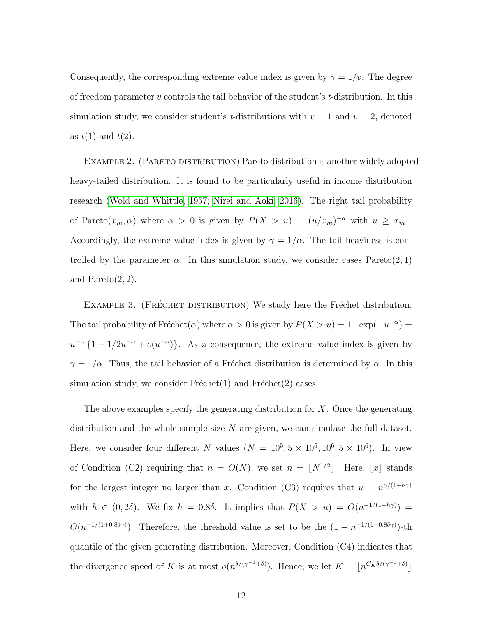Consequently, the corresponding extreme value index is given by  $\gamma = 1/v$ . The degree of freedom parameter v controls the tail behavior of the student's t-distribution. In this simulation study, we consider student's *t*-distributions with  $v = 1$  and  $v = 2$ , denoted as  $t(1)$  and  $t(2)$ .

Example 2. (Pareto distribution) Pareto distribution is another widely adopted heavy-tailed distribution. It is found to be particularly useful in income distribution research [\(Wold and Whittle, 1957;](#page-34-7) [Nirei and Aoki, 2016\)](#page-33-9). The right tail probability of Pareto $(x_m, \alpha)$  where  $\alpha > 0$  is given by  $P(X > u) = (u/x_m)^{-\alpha}$  with  $u \geq x_m$ . Accordingly, the extreme value index is given by  $\gamma = 1/\alpha$ . The tail heaviness is controlled by the parameter  $\alpha$ . In this simulation study, we consider cases  $Pareto(2,1)$ and  $Pareto(2, 2)$ .

EXAMPLE 3. (FRÉCHET DISTRIBUTION) We study here the Fréchet distribution. The tail probability of Fréchet( $\alpha$ ) where  $\alpha > 0$  is given by  $P(X > u) = 1 - \exp(-u^{-\alpha}) =$  $u^{-\alpha} \{1 - 1/2u^{-\alpha} + o(u^{-\alpha})\}.$  As a consequence, the extreme value index is given by  $\gamma = 1/\alpha$ . Thus, the tail behavior of a Fréchet distribution is determined by  $\alpha$ . In this simulation study, we consider  $Frefchet(1)$  and  $Frefchet(2)$  cases.

The above examples specify the generating distribution for  $X$ . Once the generating distribution and the whole sample size  $N$  are given, we can simulate the full dataset. Here, we consider four different N values  $(N = 10^5, 5 \times 10^5, 10^6, 5 \times 10^6)$ . In view of Condition (C2) requiring that  $n = O(N)$ , we set  $n = |N^{1/2}|$ . Here, |x| stands for the largest integer no larger than x. Condition (C3) requires that  $u = n^{\gamma/(1+h\gamma)}$ with  $h \in (0, 2\delta)$ . We fix  $h = 0.8\delta$ . It implies that  $P(X > u) = O(n^{-1/(1 + h\gamma)})$  $O(n^{-1/(1+0.8\delta\gamma)})$ . Therefore, the threshold value is set to be the  $(1-n^{-1/(1+0.8\delta\gamma)})$ -th quantile of the given generating distribution. Moreover, Condition (C4) indicates that the divergence speed of K is at most  $o(n^{\delta/(\gamma^{-1}+\delta)})$ . Hence, we let  $K = \lfloor n^{C_K \delta/(\gamma^{-1}+\delta)} \rfloor$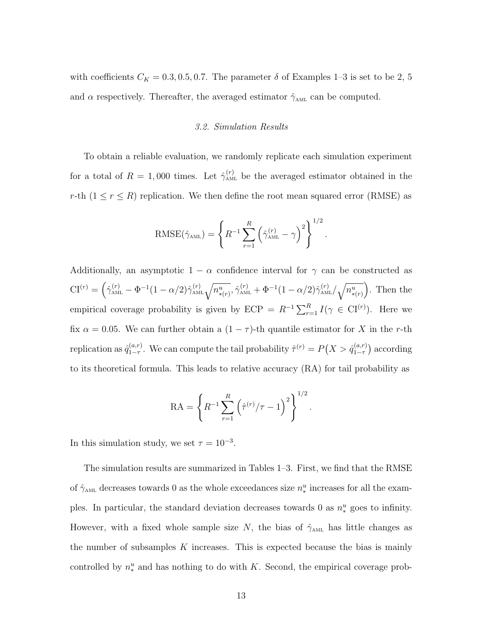with coefficients  $C_K = 0.3, 0.5, 0.7$ . The parameter  $\delta$  of Examples 1–3 is set to be 2, 5 and  $\alpha$  respectively. Thereafter, the averaged estimator  $\hat{\gamma}_{AML}$  can be computed.

#### 3.2. Simulation Results

To obtain a reliable evaluation, we randomly replicate each simulation experiment for a total of  $R = 1,000$  times. Let  $\hat{\gamma}_{\text{AML}}^{(r)}$  be the averaged estimator obtained in the r-th  $(1 \le r \le R)$  replication. We then define the root mean squared error (RMSE) as

$$
\text{RMSE}(\hat{\gamma}_{\text{AML}}) = \left\{ R^{-1} \sum_{r=1}^{R} \left( \hat{\gamma}_{\text{AML}}^{(r)} - \gamma \right)^2 \right\}^{1/2}.
$$

Additionally, an asymptotic  $1 - \alpha$  confidence interval for  $\gamma$  can be constructed as  $CI^{(r)} = \left(\hat{\gamma}_{\text{AML}}^{(r)} - \Phi^{-1}(1-\alpha/2)\hat{\gamma}_{\text{AML}}^{(r)}\sqrt{n_{\ast(r)}^u}, \hat{\gamma}_{\text{AML}}^{(r)} + \Phi^{-1}(1-\alpha/2)\hat{\gamma}_{\text{AML}}^{(r)}\sqrt{n_{\ast(r)}^u}\right)$ . Then the empirical coverage probability is given by  $ECP = R^{-1} \sum_{r=1}^{R} I(\gamma \in \mathrm{CI}^{(r)})$ . Here we fix  $\alpha = 0.05$ . We can further obtain a  $(1 - \tau)$ -th quantile estimator for X in the r-th replication as  $\hat{q}_{1-\tau}^{(a,r)}$  $a_{1-\tau}^{(a,r)}$ . We can compute the tail probability  $\hat{\tau}^{(r)} = P(X > \hat{q}_{1-\tau}^{(a,r)})$  $\binom{(a,r)}{1-\tau}$  according to its theoretical formula. This leads to relative accuracy (RA) for tail probability as

$$
RA = \left\{ R^{-1} \sum_{r=1}^{R} \left( \hat{\tau}^{(r)} / \tau - 1 \right)^2 \right\}^{1/2}.
$$

In this simulation study, we set  $\tau = 10^{-3}$ .

The simulation results are summarized in Tables 1–3. First, we find that the RMSE of  $\hat{\gamma}_{\text{AML}}$  decreases towards 0 as the whole exceedances size  $n_*^u$  increases for all the examples. In particular, the standard deviation decreases towards 0 as  $n_*^u$  goes to infinity. However, with a fixed whole sample size N, the bias of  $\hat{\gamma}_{AML}$  has little changes as the number of subsamples  $K$  increases. This is expected because the bias is mainly controlled by  $n_*^u$  and has nothing to do with K. Second, the empirical coverage prob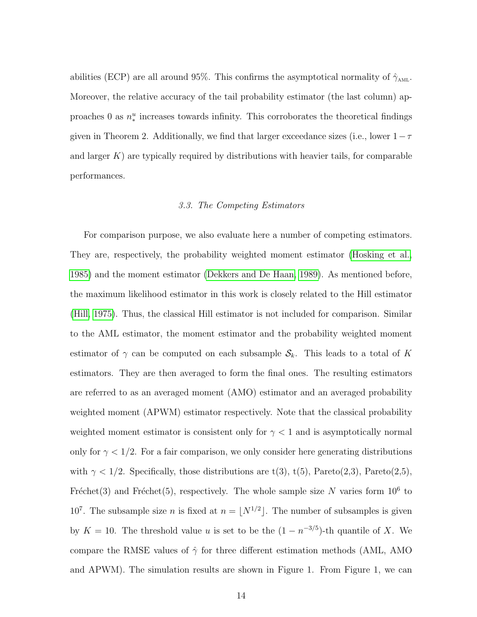abilities (ECP) are all around 95%. This confirms the asymptotical normality of  $\hat{\gamma}_{AML}$ . Moreover, the relative accuracy of the tail probability estimator (the last column) approaches 0 as  $n_*^u$  increases towards infinity. This corroborates the theoretical findings given in Theorem 2. Additionally, we find that larger exceedance sizes (i.e., lower  $1-\tau$ and larger  $K$ ) are typically required by distributions with heavier tails, for comparable performances.

#### 3.3. The Competing Estimators

For comparison purpose, we also evaluate here a number of competing estimators. They are, respectively, the probability weighted moment estimator [\(Hosking et al.,](#page-32-6) [1985\)](#page-32-6) and the moment estimator [\(Dekkers and De Haan, 1989\)](#page-31-4). As mentioned before, the maximum likelihood estimator in this work is closely related to the Hill estimator [\(Hill, 1975\)](#page-32-3). Thus, the classical Hill estimator is not included for comparison. Similar to the AML estimator, the moment estimator and the probability weighted moment estimator of  $\gamma$  can be computed on each subsample  $S_k$ . This leads to a total of K estimators. They are then averaged to form the final ones. The resulting estimators are referred to as an averaged moment (AMO) estimator and an averaged probability weighted moment (APWM) estimator respectively. Note that the classical probability weighted moment estimator is consistent only for  $\gamma$  < 1 and is asymptotically normal only for  $\gamma < 1/2$ . For a fair comparison, we only consider here generating distributions with  $\gamma < 1/2$ . Specifically, those distributions are t(3), t(5), Pareto(2,3), Pareto(2,5), Fréchet(3) and Fréchet(5), respectively. The whole sample size N varies form  $10^6$  to 10<sup>7</sup>. The subsample size *n* is fixed at  $n = |N^{1/2}|$ . The number of subsamples is given by  $K = 10$ . The threshold value u is set to be the  $(1 - n^{-3/5})$ -th quantile of X. We compare the RMSE values of  $\hat{\gamma}$  for three different estimation methods (AML, AMO and APWM). The simulation results are shown in Figure 1. From Figure 1, we can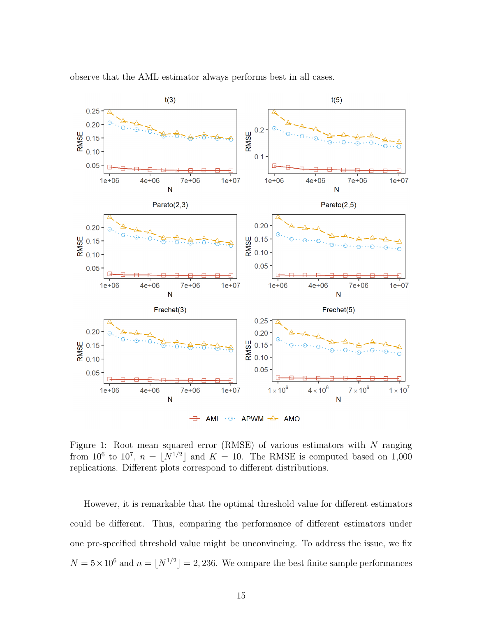

observe that the AML estimator always performs best in all cases.

Figure 1: Root mean squared error (RMSE) of various estimators with  $N$  ranging from 10<sup>6</sup> to 10<sup>7</sup>,  $n = \lfloor N^{1/2} \rfloor$  and  $K = 10$ . The RMSE is computed based on 1,000 replications. Different plots correspond to different distributions.

However, it is remarkable that the optimal threshold value for different estimators could be different. Thus, comparing the performance of different estimators under one pre-specified threshold value might be unconvincing. To address the issue, we fix  $N = 5 \times 10^6$  and  $n = \lfloor N^{1/2} \rfloor = 2,236$ . We compare the best finite sample performances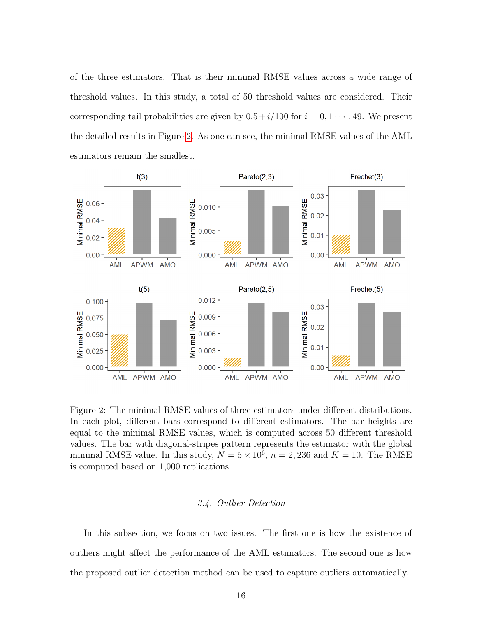of the three estimators. That is their minimal RMSE values across a wide range of threshold values. In this study, a total of 50 threshold values are considered. Their corresponding tail probabilities are given by  $0.5+i/100$  for  $i = 0, 1 \cdots, 49$ . We present the detailed results in Figure [2.](#page-15-0) As one can see, the minimal RMSE values of the AML estimators remain the smallest.



<span id="page-15-0"></span>Figure 2: The minimal RMSE values of three estimators under different distributions. In each plot, different bars correspond to different estimators. The bar heights are equal to the minimal RMSE values, which is computed across 50 different threshold values. The bar with diagonal-stripes pattern represents the estimator with the global minimal RMSE value. In this study,  $N = 5 \times 10^6$ ,  $n = 2,236$  and  $K = 10$ . The RMSE is computed based on 1,000 replications.

#### 3.4. Outlier Detection

In this subsection, we focus on two issues. The first one is how the existence of outliers might affect the performance of the AML estimators. The second one is how the proposed outlier detection method can be used to capture outliers automatically.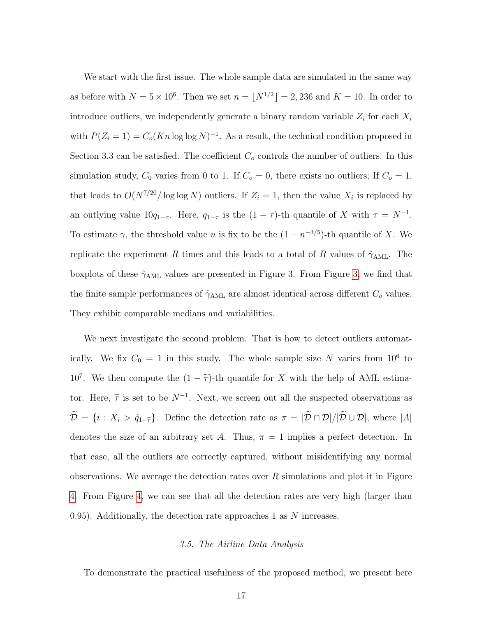We start with the first issue. The whole sample data are simulated in the same way as before with  $N = 5 \times 10^6$ . Then we set  $n = |N^{1/2}| = 2,236$  and  $K = 10$ . In order to introduce outliers, we independently generate a binary random variable  $Z_i$  for each  $X_i$ with  $P(Z_i = 1) = C_o(Kn \log \log N)^{-1}$ . As a result, the technical condition proposed in Section 3.3 can be satisfied. The coefficient  $C<sub>o</sub>$  controls the number of outliers. In this simulation study,  $C_0$  varies from 0 to 1. If  $C_0 = 0$ , there exists no outliers; If  $C_0 = 1$ , that leads to  $O(N^{7/20}/\log \log N)$  outliers. If  $Z_i = 1$ , then the value  $X_i$  is replaced by an outlying value  $10q_{1-\tau}$ . Here,  $q_{1-\tau}$  is the  $(1-\tau)$ -th quantile of X with  $\tau = N^{-1}$ . To estimate  $\gamma$ , the threshold value u is fix to be the  $(1 - n^{-3/5})$ -th quantile of X. We replicate the experiment R times and this leads to a total of R values of  $\hat{\gamma}_{\text{AML}}$ . The boxplots of these  $\hat{\gamma}_{\text{AML}}$  values are presented in Figure 3. From Figure [3,](#page-17-0) we find that the finite sample performances of  $\hat{\gamma}_{\rm AML}$  are almost identical across different  $C_o$  values. They exhibit comparable medians and variabilities.

We next investigate the second problem. That is how to detect outliers automatically. We fix  $C_0 = 1$  in this study. The whole sample size N varies from  $10^6$  to 10<sup>7</sup>. We then compute the  $(1 - \tilde{\tau})$ -th quantile for X with the help of AML estimator. Here,  $\tilde{\tau}$  is set to be  $N^{-1}$ . Next, we screen out all the suspected observations as  $\widetilde{\mathcal{D}} = \{i : X_i > \hat{q}_{1-\widetilde{\tau}}\}\.$  Define the detection rate as  $\pi = |\widetilde{\mathcal{D}} \cap \mathcal{D}|/|\widetilde{\mathcal{D}} \cup \mathcal{D}|$ , where  $|A|$ denotes the size of an arbitrary set A. Thus,  $\pi = 1$  implies a perfect detection. In that case, all the outliers are correctly captured, without misidentifying any normal observations. We average the detection rates over  $R$  simulations and plot it in Figure [4.](#page-18-0) From Figure [4,](#page-18-0) we can see that all the detection rates are very high (larger than 0.95). Additionally, the detection rate approaches 1 as  $N$  increases.

#### 3.5. The Airline Data Analysis

To demonstrate the practical usefulness of the proposed method, we present here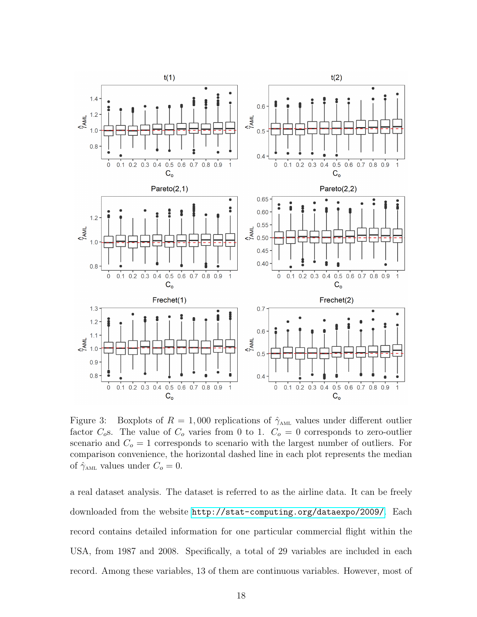

<span id="page-17-0"></span>Figure 3: Boxplots of  $R = 1,000$  replications of  $\hat{\gamma}_{AML}$  values under different outlier factor  $C_0$ s. The value of  $C_0$  varies from 0 to 1.  $C_0 = 0$  corresponds to zero-outlier scenario and  $C<sub>o</sub> = 1$  corresponds to scenario with the largest number of outliers. For comparison convenience, the horizontal dashed line in each plot represents the median of  $\hat{\gamma}_{\text{AML}}$  values under  $C_o = 0$ .

a real dataset analysis. The dataset is referred to as the airline data. It can be freely downloaded from the website <http://stat-computing.org/dataexpo/2009/>. Each record contains detailed information for one particular commercial flight within the USA, from 1987 and 2008. Specifically, a total of 29 variables are included in each record. Among these variables, 13 of them are continuous variables. However, most of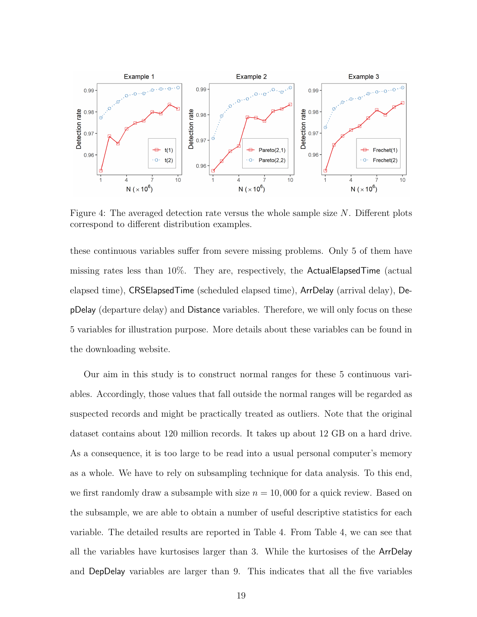

<span id="page-18-0"></span>Figure 4: The averaged detection rate versus the whole sample size  $N$ . Different plots correspond to different distribution examples.

these continuous variables suffer from severe missing problems. Only 5 of them have missing rates less than 10%. They are, respectively, the ActualElapsedTime (actual elapsed time), CRSElapsedTime (scheduled elapsed time), ArrDelay (arrival delay), DepDelay (departure delay) and Distance variables. Therefore, we will only focus on these 5 variables for illustration purpose. More details about these variables can be found in the downloading website.

Our aim in this study is to construct normal ranges for these 5 continuous variables. Accordingly, those values that fall outside the normal ranges will be regarded as suspected records and might be practically treated as outliers. Note that the original dataset contains about 120 million records. It takes up about 12 GB on a hard drive. As a consequence, it is too large to be read into a usual personal computer's memory as a whole. We have to rely on subsampling technique for data analysis. To this end, we first randomly draw a subsample with size  $n = 10,000$  for a quick review. Based on the subsample, we are able to obtain a number of useful descriptive statistics for each variable. The detailed results are reported in Table 4. From Table 4, we can see that all the variables have kurtosises larger than 3. While the kurtosises of the ArrDelay and DepDelay variables are larger than 9. This indicates that all the five variables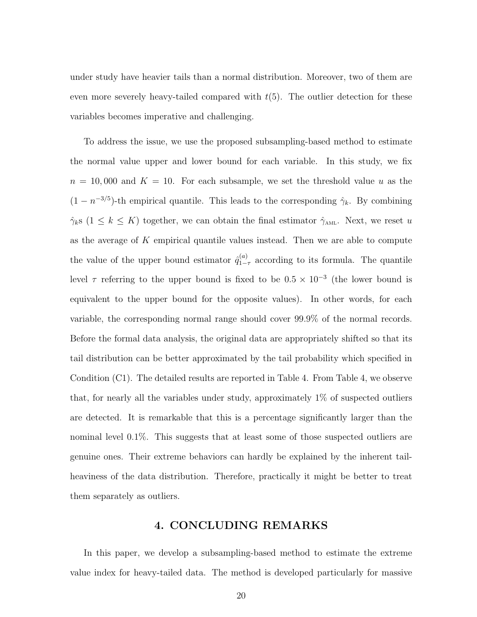under study have heavier tails than a normal distribution. Moreover, two of them are even more severely heavy-tailed compared with  $t(5)$ . The outlier detection for these variables becomes imperative and challenging.

To address the issue, we use the proposed subsampling-based method to estimate the normal value upper and lower bound for each variable. In this study, we fix  $n = 10,000$  and  $K = 10$ . For each subsample, we set the threshold value u as the  $(1 - n^{-3/5})$ -th empirical quantile. This leads to the corresponding  $\hat{\gamma}_k$ . By combining  $\hat{\gamma}_{k}$ s (1  $\leq$   $k \leq K$ ) together, we can obtain the final estimator  $\hat{\gamma}_{AML}$ . Next, we reset u as the average of  $K$  empirical quantile values instead. Then we are able to compute the value of the upper bound estimator  $\hat{q}_{1-}^{(a)}$  $_{1-\tau}^{(a)}$  according to its formula. The quantile level  $\tau$  referring to the upper bound is fixed to be  $0.5 \times 10^{-3}$  (the lower bound is equivalent to the upper bound for the opposite values). In other words, for each variable, the corresponding normal range should cover 99.9% of the normal records. Before the formal data analysis, the original data are appropriately shifted so that its tail distribution can be better approximated by the tail probability which specified in Condition (C1). The detailed results are reported in Table 4. From Table 4, we observe that, for nearly all the variables under study, approximately 1% of suspected outliers are detected. It is remarkable that this is a percentage significantly larger than the nominal level 0.1%. This suggests that at least some of those suspected outliers are genuine ones. Their extreme behaviors can hardly be explained by the inherent tailheaviness of the data distribution. Therefore, practically it might be better to treat them separately as outliers.

## 4. CONCLUDING REMARKS

In this paper, we develop a subsampling-based method to estimate the extreme value index for heavy-tailed data. The method is developed particularly for massive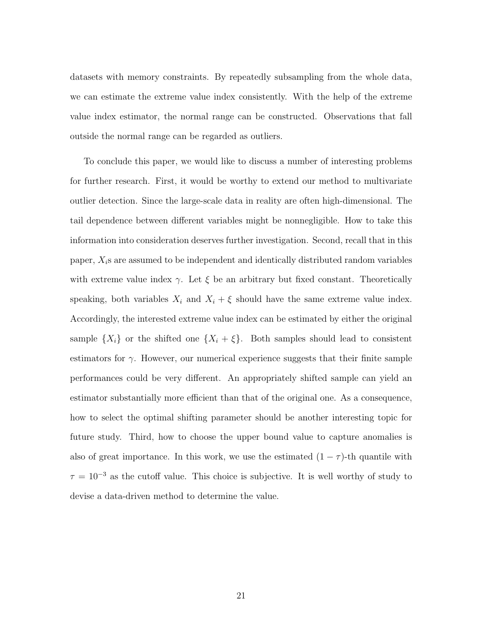datasets with memory constraints. By repeatedly subsampling from the whole data, we can estimate the extreme value index consistently. With the help of the extreme value index estimator, the normal range can be constructed. Observations that fall outside the normal range can be regarded as outliers.

To conclude this paper, we would like to discuss a number of interesting problems for further research. First, it would be worthy to extend our method to multivariate outlier detection. Since the large-scale data in reality are often high-dimensional. The tail dependence between different variables might be nonnegligible. How to take this information into consideration deserves further investigation. Second, recall that in this paper,  $X_i$ s are assumed to be independent and identically distributed random variables with extreme value index  $\gamma$ . Let  $\xi$  be an arbitrary but fixed constant. Theoretically speaking, both variables  $X_i$  and  $X_i + \xi$  should have the same extreme value index. Accordingly, the interested extreme value index can be estimated by either the original sample  $\{X_i\}$  or the shifted one  $\{X_i + \xi\}$ . Both samples should lead to consistent estimators for  $\gamma$ . However, our numerical experience suggests that their finite sample performances could be very different. An appropriately shifted sample can yield an estimator substantially more efficient than that of the original one. As a consequence, how to select the optimal shifting parameter should be another interesting topic for future study. Third, how to choose the upper bound value to capture anomalies is also of great importance. In this work, we use the estimated  $(1 - \tau)$ -th quantile with  $\tau = 10^{-3}$  as the cutoff value. This choice is subjective. It is well worthy of study to devise a data-driven method to determine the value.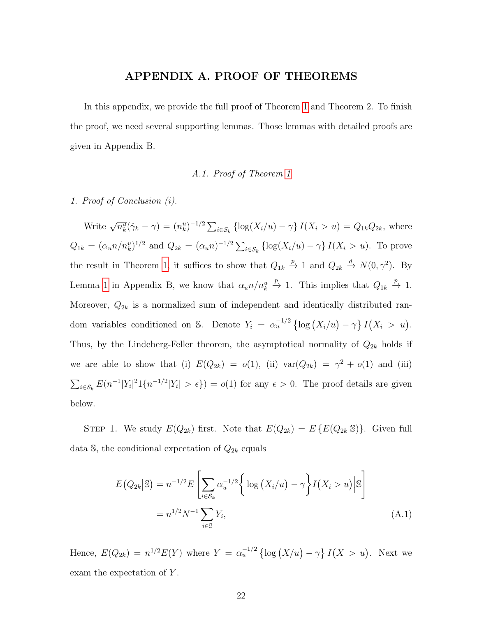### APPENDIX A. PROOF OF THEOREMS

In this appendix, we provide the full proof of Theorem [1](#page-7-0) and Theorem 2. To finish the proof, we need several supporting lemmas. Those lemmas with detailed proofs are given in Appendix B.

#### A.1. Proof of Theorem [1](#page-7-0)

1. Proof of Conclusion (i).

Write  $\sqrt{n_k^u}(\hat{\gamma}_k - \gamma) = (n_k^u)^{-1/2} \sum_{i \in S_k} {\log(X_i/u) - \gamma} I(X_i > u) = Q_{1k}Q_{2k}$ , where  $Q_{1k} = (\alpha_u n/n_k^u)^{1/2}$  and  $Q_{2k} = (\alpha_u n)^{-1/2} \sum_{i \in S_k} {\log(X_i/u) - \gamma} I(X_i > u)$ . To prove the result in Theorem [1,](#page-7-0) it suffices to show that  $Q_{1k} \stackrel{p}{\to} 1$  and  $Q_{2k} \stackrel{d}{\to} N(0,\gamma^2)$ . By Lemma [1](#page-26-0) in Appendix B, we know that  $\alpha_u n/n_k^u$  $\stackrel{p}{\rightarrow}$  1. This implies that  $Q_{1k} \stackrel{p}{\rightarrow} 1$ . Moreover,  $Q_{2k}$  is a normalized sum of independent and identically distributed random variables conditioned on S. Denote  $Y_i = \alpha_u^{-1/2} \left\{ \log \left( X_i/u \right) - \gamma \right\} I \left( X_i > u \right)$ . Thus, by the Lindeberg-Feller theorem, the asymptotical normality of  $Q_{2k}$  holds if we are able to show that (i)  $E(Q_{2k}) = o(1)$ , (ii)  $var(Q_{2k}) = \gamma^2 + o(1)$  and (iii)  $\sum_{i\in\mathcal{S}_k} E(n^{-1}|Y_i|^2 1\{n^{-1/2}|Y_i| > \epsilon\}) = o(1)$  for any  $\epsilon > 0$ . The proof details are given below.

STEP 1. We study  $E(Q_{2k})$  first. Note that  $E(Q_{2k}) = E\{E(Q_{2k}|\mathbb{S})\}$ . Given full data S, the conditional expectation of  $Q_{2k}$  equals

<span id="page-21-0"></span>
$$
E(Q_{2k}|\mathbb{S}) = n^{-1/2} E\left[\sum_{i \in S_k} \alpha_u^{-1/2} \left\{ \log \left(X_i/u\right) - \gamma \right\} I\left(X_i > u\right) | \mathbb{S} \right]
$$

$$
= n^{1/2} N^{-1} \sum_{i \in \mathbb{S}} Y_i,
$$
(A.1)

Hence,  $E(Q_{2k}) = n^{1/2}E(Y)$  where  $Y = \alpha_u^{-1/2} \left\{ \log(X/u) - \gamma \right\} I(X > u)$ . Next we exam the expectation of Y.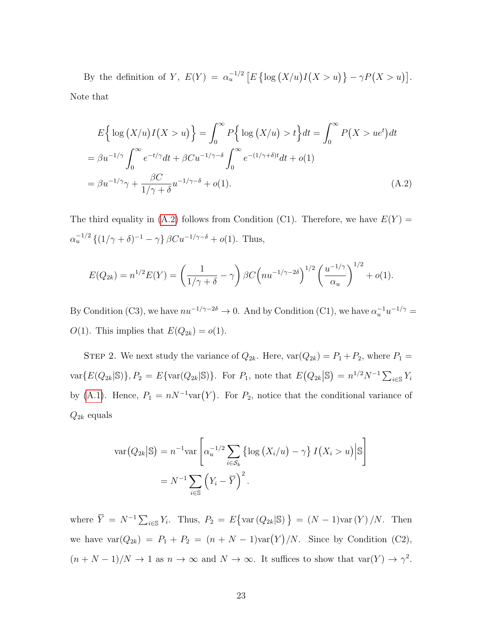By the definition of Y,  $E(Y) = \alpha_u^{-1/2} \left[ E \left\{ \log(X/u) I(X > u) \right\} - \gamma P(X > u) \right]$ . Note that

<span id="page-22-0"></span>
$$
E\left\{\log\left(X/u\right)I\left(X > u\right)\right\} = \int_0^\infty P\left\{\log\left(X/u\right) > t\right\} dt = \int_0^\infty P\left(X > u e^t\right) dt
$$

$$
= \beta u^{-1/\gamma} \int_0^\infty e^{-t/\gamma} dt + \beta Cu^{-1/\gamma-\delta} \int_0^\infty e^{-(1/\gamma+\delta)t} dt + o(1)
$$

$$
= \beta u^{-1/\gamma} \gamma + \frac{\beta C}{1/\gamma + \delta} u^{-1/\gamma-\delta} + o(1).
$$
(A.2)

The third equality in [\(A.2\)](#page-22-0) follows from Condition (C1). Therefore, we have  $E(Y) =$  $\alpha_u^{-1/2} \{ (1/\gamma + \delta)^{-1} - \gamma \} \, \beta C u^{-1/\gamma - \delta} + o(1)$ . Thus,

$$
E(Q_{2k}) = n^{1/2} E(Y) = \left(\frac{1}{1/\gamma + \delta} - \gamma\right) \beta C \left(nu^{-1/\gamma - 2\delta}\right)^{1/2} \left(\frac{u^{-1/\gamma}}{\alpha_u}\right)^{1/2} + o(1).
$$

By Condition (C3), we have  $nu^{-1/\gamma - 2\delta} \to 0$ . And by Condition (C1), we have  $\alpha_u^{-1} u^{-1/\gamma} =$  $O(1)$ . This implies that  $E(Q_{2k}) = o(1)$ .

STEP 2. We next study the variance of  $Q_{2k}$ . Here,  $\text{var}(Q_{2k}) = P_1 + P_2$ , where  $P_1 =$  $\text{var}\{E(Q_{2k}|\mathbb{S})\}, P_2 = E\{\text{var}(Q_{2k}|\mathbb{S})\}.$  For  $P_1$ , note that  $E(Q_{2k}|\mathbb{S}) = n^{1/2}N^{-1}\sum_{i\in\mathbb{S}}Y_i$ by [\(A.1\)](#page-21-0). Hence,  $P_1 = nN^{-1} \text{var}(Y)$ . For  $P_2$ , notice that the conditional variance of  $Q_{2k}$  equals

$$
\operatorname{var}(Q_{2k}|\mathbb{S}) = n^{-1} \operatorname{var}\left[\alpha_u^{-1/2} \sum_{i \in S_k} \left\{ \log \left( X_i/u \right) - \gamma \right\} I(X_i > u) \Big| \mathbb{S} \right]
$$

$$
= N^{-1} \sum_{i \in \mathbb{S}} \left( Y_i - \overline{Y} \right)^2.
$$

where  $\overline{Y} = N^{-1} \sum_{i \in \mathbb{S}} Y_i$ . Thus,  $P_2 = E\{\text{var}(Q_{2k} | \mathbb{S})\} = (N-1)\text{var}(Y)/N$ . Then we have  $var(Q_{2k}) = P_1 + P_2 = (n + N - 1)var(Y)/N$ . Since by Condition (C2),  $(n+N-1)/N \to 1$  as  $n \to \infty$  and  $N \to \infty$ . It suffices to show that  $var(Y) \to \gamma^2$ .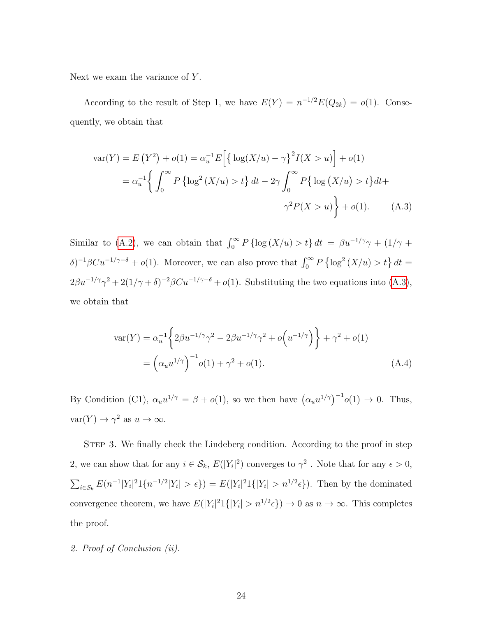Next we exam the variance of  $Y$ .

According to the result of Step 1, we have  $E(Y) = n^{-1/2}E(Q_{2k}) = o(1)$ . Consequently, we obtain that

<span id="page-23-0"></span>
$$
\text{var}(Y) = E(Y^2) + o(1) = \alpha_u^{-1} E\Big[\big\{\log(X/u) - \gamma\big\}^2 I(X > u)\Big] + o(1)
$$
  
=  $\alpha_u^{-1} \Big\{\int_0^\infty P\left\{\log^2(X/u) > t\right\} dt - 2\gamma \int_0^\infty P\big\{\log(X/u) > t\big\} dt + \gamma^2 P(X > u)\Big\} + o(1).$  (A.3)

Similar to [\(A.2\)](#page-22-0), we can obtain that  $\int_0^\infty P\{\log(X/u) > t\} dt = \beta u^{-1/\gamma}\gamma + (1/\gamma +$  $\delta$ )<sup>-1</sup>βCu<sup>-1/γ-δ</sup> + o(1). Moreover, we can also prove that  $\int_0^\infty P\left\{\log^2(X/u) > t\right\} dt =$  $2\beta u^{-1/\gamma}\gamma^2 + 2(1/\gamma+\delta)^{-2}\beta Cu^{-1/\gamma-\delta} + o(1)$ . Substituting the two equations into [\(A.3\)](#page-23-0), we obtain that

<span id="page-23-1"></span>
$$
\operatorname{var}(Y) = \alpha_u^{-1} \left\{ 2\beta u^{-1/\gamma} \gamma^2 - 2\beta u^{-1/\gamma} \gamma^2 + o\left(u^{-1/\gamma}\right) \right\} + \gamma^2 + o(1)
$$
  
=  $\left(\alpha_u u^{1/\gamma}\right)^{-1} o(1) + \gamma^2 + o(1).$  (A.4)

By Condition (C1),  $\alpha_u u^{1/\gamma} = \beta + o(1)$ , so we then have  $(\alpha_u u^{1/\gamma})^{-1} o(1) \to 0$ . Thus,  $var(Y) \to \gamma^2$  as  $u \to \infty$ .

STEP 3. We finally check the Lindeberg condition. According to the proof in step 2, we can show that for any  $i \in \mathcal{S}_k$ ,  $E(|Y_i|^2)$  converges to  $\gamma^2$ . Note that for any  $\epsilon > 0$ ,  $\sum_{i \in S_k} E(n^{-1}|Y_i|^2 1\{n^{-1/2}|Y_i| > \epsilon\}) = E(|Y_i|^2 1\{|Y_i| > n^{1/2}\epsilon\})$ . Then by the dominated convergence theorem, we have  $E(|Y_i|^2 1\{|Y_i| > n^{1/2} \epsilon\}) \to 0$  as  $n \to \infty$ . This completes the proof.

2. Proof of Conclusion (ii).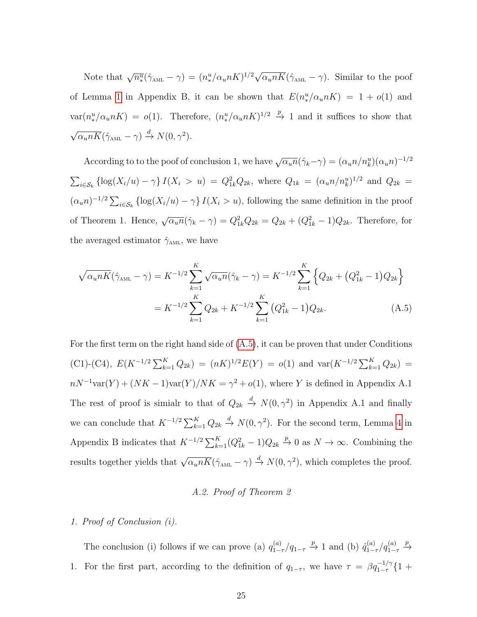Note that  $\sqrt{n_{*}^u}(\hat{\gamma}_{\text{AML}} - \gamma) = (n_{*}^u/\alpha_u nK)^{1/2} \sqrt{\alpha_u nK}(\hat{\gamma}_{\text{AML}} - \gamma)$ . Similar to the poof of Lemma [1](#page-26-0) in Appendix B, it can be shown that  $E(n^u)/\alpha_u nK = 1 + o(1)$  and  $var(n_{*}^{u}/\alpha_{u}nK) = o(1)$ . Therefore,  $(n_{*}^{u}/\alpha_{u}nK)^{1/2} \stackrel{p}{\rightarrow} 1$  and it suffices to show that √  $\overline{\alpha_u nK}(\hat{\gamma}_{\text{AML}} - \gamma) \stackrel{d}{\rightarrow} N(0, \gamma^2).$ 

According to to the poof of conclusion 1, we have  $\sqrt{\alpha_u n}(\hat{\gamma}_k - \gamma) = (\alpha_u n/n_k^u)(\alpha_u n)^{-1/2}$  $\sum_{i \in S_k} {\log(X_i/u) - \gamma} I(X_i > u) = Q_{1k}^2 Q_{2k}$ , where  $Q_{1k} = (\alpha_u n / n_k^u)^{1/2}$  and  $Q_{2k} =$  $(\alpha_u n)^{-1/2} \sum_{i \in S_k} {\log(X_i/u) - \gamma} I(X_i > u)$ , following the same definition in the proof of Theorem 1. Hence,  $\sqrt{\alpha_u n}(\hat{\gamma}_k - \gamma) = Q_{1k}^2 Q_{2k} = Q_{2k} + (Q_{1k}^2 - 1)Q_{2k}$ . Therefore, for the averaged estimator  $\hat{\gamma}_{\text{AML}}$ , we have

$$
\sqrt{\alpha_u n K} (\hat{\gamma}_{AML} - \gamma) = K^{-1/2} \sum_{k=1}^{K} \sqrt{\alpha_u n} (\hat{\gamma}_k - \gamma) = K^{-1/2} \sum_{k=1}^{K} \left\{ Q_{2k} + (Q_{1k}^2 - 1) Q_{2k} \right\}
$$

$$
= K^{-1/2} \sum_{k=1}^{K} Q_{2k} + K^{-1/2} \sum_{k=1}^{K} (Q_{1k}^2 - 1) Q_{2k}.
$$
(A.5)

For the first term on the right hand side of  $(A.5)$ , it can be proven that under Conditions (C1)-(C4),  $E(K^{-1/2}\sum_{k=1}^{K} Q_{2k}) = (nK)^{1/2}E(Y) = o(1)$  and  $var(K^{-1/2}\sum_{k=1}^{K} Q_{2k}) =$  $nN^{-1}var(Y) + (NK-1)var(Y)/NK = \gamma^2 + o(1)$ , where Y is defined in Appendix A.1 The rest of proof is simialr to that of  $Q_{2k} \stackrel{d}{\rightarrow} N(0,\gamma^2)$  in Appendix A.1 and finally we can conclude that  $K^{-1/2} \sum_{k=1}^{K} Q_{2k} \stackrel{d}{\to} N(0, \gamma^2)$ . For the second term, Lemma [4](#page-29-0) in Appendix B indicates that  $K^{-1/2} \sum_{k=1}^{K} (Q_{1k}^2 - 1) Q_{2k} \stackrel{p}{\to} 0$  as  $N \to \infty$ . Combining the results together yields that  $\sqrt{\alpha_u nK} (\hat{\gamma}_{\text{AML}} - \gamma) \stackrel{d}{\rightarrow} N(0, \gamma^2)$ , which completes the proof.

#### <span id="page-24-0"></span>A.2. Proof of Theorem 2

#### 1. Proof of Conclusion (i).

The conclusion (i) follows if we can prove (a)  $q_{1-}^{(a)}$  $\int_{1-\tau}^{(a)}(q_{1-\tau} \xrightarrow{p} 1 \text{ and } (b) \hat{q}_{1-\tau}^{(a)})$  $\int\limits_{1-\tau}^{(a)}\bigl/q^{(a)}_{1-\tau}$  $\xrightarrow{p}$ 1. For the first part, according to the definition of  $q_{1-\tau}$ , we have  $\tau = \beta q_{1-\tau}^{-1/\gamma} \{1+\tau\}$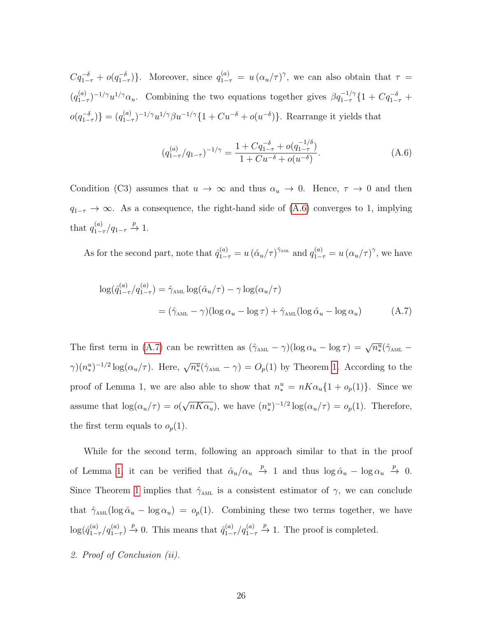$Cq_{1-\tau}^{-\delta} + o(q_{1-\tau}^{-\delta})\}.$  Moreover, since  $q_{1-\tau}^{(a)} = u(\alpha_u/\tau)^\gamma$ , we can also obtain that  $\tau =$  $(q_1^{(a)}$  $(1-\tau)^{-1/\gamma}u^{1/\gamma}\alpha_u$ . Combining the two equations together gives  $\beta q_{1-\tau}^{-1/\gamma}$  {1 +  $Cq_{1-\tau}^{-\delta}$  +  $o(q_{1-\tau}^{-\delta})\} = (q_{1-\tau}^{(a)})$  $\sum_{1-\tau}^{(a)}$  -1/ $\gamma u^{1/\gamma} \beta u^{-1/\gamma}$  {1 +  $Cu^{-\delta}$  +  $o(u^{-\delta})$ }. Rearrange it yields that

<span id="page-25-1"></span><span id="page-25-0"></span>
$$
(q_{1-\tau}^{(a)}/q_{1-\tau})^{-1/\gamma} = \frac{1 + Cq_{1-\tau}^{-\delta} + o(q_{1-\tau}^{-1/\delta})}{1 + Cu^{-\delta} + o(u^{-\delta})}.
$$
\n(A.6)

Condition (C3) assumes that  $u \to \infty$  and thus  $\alpha_u \to 0$ . Hence,  $\tau \to 0$  and then  $q_{1-\tau} \to \infty$ . As a consequence, the right-hand side of [\(A.6\)](#page-25-0) converges to 1, implying that  $q_{1-}^{(a)}$  $\frac{(a)}{1-\tau}/q_{1-\tau} \stackrel{p}{\to} 1.$ 

As for the second part, note that  $\hat{q}_{1-\tau}^{(a)} = u (\hat{\alpha}_u/\tau)^{\hat{\gamma}_{AML}}$  and  $q_{1-\tau}^{(a)} = u (\alpha_u/\tau)^{\gamma}$ , we have

$$
\log(\hat{q}_{1-\tau}^{(a)}/q_{1-\tau}^{(a)}) = \hat{\gamma}_{\text{AML}} \log(\hat{\alpha}_u/\tau) - \gamma \log(\alpha_u/\tau)
$$

$$
= (\hat{\gamma}_{\text{AML}} - \gamma)(\log \alpha_u - \log \tau) + \hat{\gamma}_{\text{AML}} (\log \hat{\alpha}_u - \log \alpha_u) \tag{A.7}
$$

The first term in [\(A.7\)](#page-25-1) can be rewritten as  $(\hat{\gamma}_{AML} - \gamma)(\log \alpha_u - \log \tau) = \sqrt{n_*^u}(\hat{\gamma}_{AML} - \tau)$  $\gamma$ ) $(n_{*}^{u})^{-1/2}$  log( $\alpha_{u}/\tau$ ). Here,  $\sqrt{n_{*}^{u}}(\hat{\gamma}_{\text{AML}} - \gamma) = O_{p}(1)$  by Theorem [1.](#page-7-0) According to the proof of Lemma 1, we are also able to show that  $n_*^u = nK\alpha_u\{1 + o_p(1)\}\$ . Since we assume that  $\log(\alpha_u/\tau) = o($ √  $\overline{nKa_u}$ , we have  $(n^u_*)^{-1/2}\log(\alpha_u/\tau) = o_p(1)$ . Therefore, the first term equals to  $o_p(1)$ .

While for the second term, following an approach similar to that in the proof of Lemma [1,](#page-26-0) it can be verified that  $\hat{\alpha}_u/\alpha_u \stackrel{p}{\rightarrow} 1$  and thus  $\log \hat{\alpha}_u - \log \alpha_u \stackrel{p}{\rightarrow} 0$ . Since Theorem [1](#page-7-0) implies that  $\hat{\gamma}_{\text{AML}}$  is a consistent estimator of  $\gamma$ , we can conclude that  $\hat{\gamma}_{\text{AML}}(\log \hat{\alpha}_u - \log \alpha_u) = o_p(1)$ . Combining these two terms together, we have  $\log(\hat{q}_{1-}^{(a)}% )=\log(\hat{q}_{1-}^{(a)}% )+\log(\hat{q}_{2-}^{(a)}% )$  $\binom{a}{1-\tau}q_{1-\tau}^{(a)}$   $\stackrel{p}{\to}$  0. This means that  $\hat{q}_{1-\tau}^{(a)}$  $\int\limits_{1-\tau}^{(a)}\langle q^{(a)}_{1-\tau}% (n)\rangle\langle\langle n^{(a)}_{1-\tau}% (n)\rangle\langle\langle n^{(a)}_{1-\tau}% (n)\rangle\langle\langle n^{(a)}_{1-\tau}% (n)\rangle\langle\langle n^{(a)}_{1-\tau}% (n)\rangle\langle\langle n^{(a)}_{1-\tau}% (n)\rangle\langle\langle n^{(a)}_{1-\tau}% (n)\rangle\langle\langle n^{(a)}_{1-\tau}% (n)\rangle\langle\langle n^{(a)}_{1-\tau}% (n)\rangle\langle\langle n^{(a)}_{1-\tau}% (n)\rangle\langle\langle n^{(a)}_{1-\tau}% (n)\rangle\langle\langle n^{(a)}_{1$  $\stackrel{p}{\rightarrow}$  1. The proof is completed.

2. Proof of Conclusion (ii).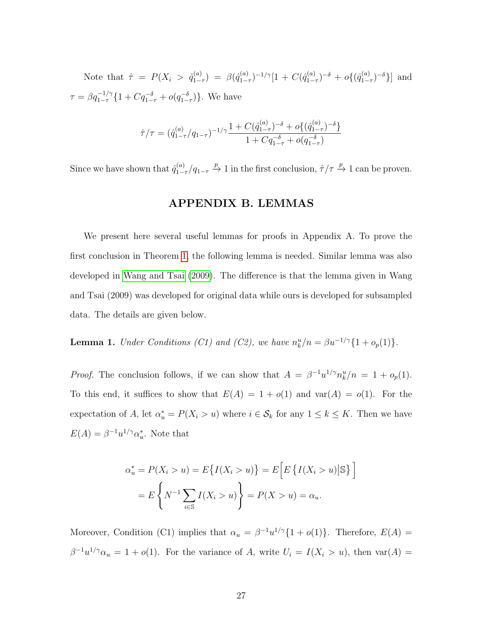Note that  $\hat{\tau} = P(X_i > \hat{q}_{1-}^{(a)})$  $\beta_{1-\tau}^{(a)}$ ) =  $\beta(\hat{q}_{1-}^{(a)})$  $_{1-\tau}^{(a)})^{-1/\gamma}[1+C(\hat q_{1-}^{(a)})]$  $\lambda_{1-\tau}^{(a)}\big)^{-\delta} + o\{(\hat q_{1-\tau}^{(a)}\big)$  $_{1-\tau}^{(a)}$  $\rceil$ <sup>-δ</sup>}] and  $\tau = \beta q_{1-\tau}^{-1/\gamma} \{1 + Cq_{1-\tau}^{-\delta} + o(q_{1-\tau}^{-\delta})\}.$  We have

$$
\hat{\tau}/\tau = (\hat{q}_{1-\tau}^{(a)}/q_{1-\tau})^{-1/\gamma} \frac{1 + C(\hat{q}_{1-\tau}^{(a)})^{-\delta} + o\{(\hat{q}_{1-\tau}^{(a)})^{-\delta}\}}{1 + Cq_{1-\tau}^{-\delta} + o(q_{1-\tau}^{-\delta})}
$$

Since we have shown that  $\hat{q}_{1-}^{(a)}$  $\int_{1-\tau}^{(a)}/q_{1-\tau} \stackrel{p}{\rightarrow} 1$  in the first conclusion,  $\hat{\tau}/\tau \stackrel{p}{\rightarrow} 1$  can be proven.

## APPENDIX B. LEMMAS

We present here several useful lemmas for proofs in Appendix A. To prove the first conclusion in Theorem [1,](#page-7-0) the following lemma is needed. Similar lemma was also developed in [Wang and Tsai \(2009\)](#page-34-2). The difference is that the lemma given in Wang and Tsai (2009) was developed for original data while ours is developed for subsampled data. The details are given below.

<span id="page-26-0"></span>**Lemma 1.** Under Conditions (C1) and (C2), we have  $n_k^u/n = \beta u^{-1/\gamma} \{1 + o_p(1)\}.$ 

*Proof.* The conclusion follows, if we can show that  $A = \beta^{-1} u^{1/\gamma} n_k^u / n = 1 + o_p(1)$ . To this end, it suffices to show that  $E(A) = 1 + o(1)$  and  $var(A) = o(1)$ . For the expectation of A, let  $\alpha_u^* = P(X_i > u)$  where  $i \in \mathcal{S}_k$  for any  $1 \leq k \leq K$ . Then we have  $E(A) = \beta^{-1} u^{1/\gamma} \alpha_u^*$ . Note that

$$
\alpha_u^* = P(X_i > u) = E\{I(X_i > u)\} = E\left[E\left\{I(X_i > u) | \mathbb{S}\right\}\right]
$$

$$
= E\left\{N^{-1}\sum_{i \in \mathbb{S}} I(X_i > u)\right\} = P(X > u) = \alpha_u.
$$

Moreover, Condition (C1) implies that  $\alpha_u = \beta^{-1} u^{1/\gamma} \{1 + o(1)\}\.$  Therefore,  $E(A) =$  $\beta^{-1}u^{1/\gamma}\alpha_u = 1 + o(1)$ . For the variance of A, write  $U_i = I(X_i > u)$ , then  $var(A) =$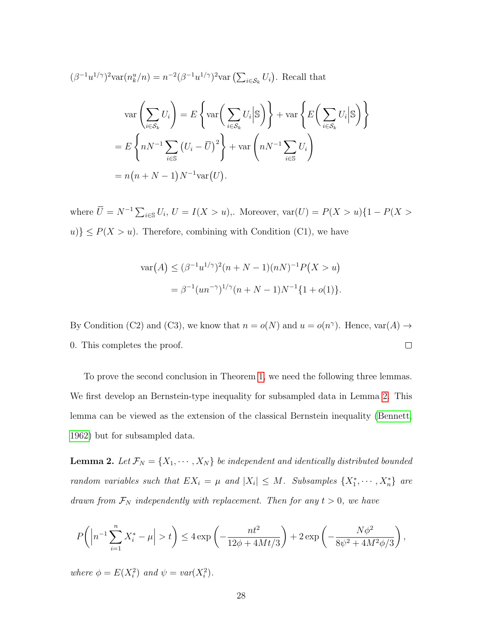$$
(\beta^{-1}u^{1/\gamma})^2 \text{var}(n_k^u/n) = n^{-2}(\beta^{-1}u^{1/\gamma})^2 \text{var}\left(\sum_{i \in S_k} U_i\right). \text{ Recall that}
$$

$$
\text{var}\left(\sum_{i \in S_k} U_i\right) = E\left\{\text{var}\left(\sum_{i \in S_k} U_i \bigg| \mathbb{S}\right)\right\} + \text{var}\left\{E\left(\sum_{i \in S_k} U_i \bigg| \mathbb{S}\right)\right\}
$$

$$
= E\left\{nN^{-1}\sum_{i \in \mathbb{S}} \left(U_i - \overline{U}\right)^2\right\} + \text{var}\left(nN^{-1}\sum_{i \in \mathbb{S}} U_i\right)
$$

$$
= n(n + N - 1)N^{-1} \text{var}(U).
$$

where  $\overline{U} = N^{-1} \sum_{i \in \mathbb{S}} U_i$ ,  $U = I(X > u)$ ,. Moreover,  $\text{var}(U) = P(X > u) \{1 - P(X > u) \}$  $u$ }  $\leq P(X > u)$ . Therefore, combining with Condition (C1), we have

$$
\operatorname{var}(A) \le (\beta^{-1} u^{1/\gamma})^2 (n + N - 1)(nN)^{-1} P(X > u)
$$
  
=  $\beta^{-1} (un^{-\gamma})^{1/\gamma} (n + N - 1) N^{-1} \{1 + o(1)\}.$ 

By Condition (C2) and (C3), we know that  $n = o(N)$  and  $u = o(n^{\gamma})$ . Hence,  $var(A) \rightarrow$  $\Box$ 0. This completes the proof.

To prove the second conclusion in Theorem [1,](#page-7-0) we need the following three lemmas. We first develop an Bernstein-type inequality for subsampled data in Lemma [2.](#page-27-0) This lemma can be viewed as the extension of the classical Bernstein inequality [\(Bennett,](#page-31-8) [1962\)](#page-31-8) but for subsampled data.

<span id="page-27-0"></span>**Lemma 2.** Let  $\mathcal{F}_N = \{X_1, \dots, X_N\}$  be independent and identically distributed bounded random variables such that  $EX_i = \mu$  and  $|X_i| \leq M$ . Subsamples  $\{X_1^*, \dots, X_n^*\}$  are drawn from  $\mathcal{F}_N$  independently with replacement. Then for any  $t > 0$ , we have

$$
P\bigg(\left|n^{-1}\sum_{i=1}^n X_i^* - \mu\right| > t\bigg) \le 4 \exp\left(-\frac{nt^2}{12\phi + 4Mt/3}\right) + 2 \exp\left(-\frac{N\phi^2}{8\psi^2 + 4M^2\phi/3}\right),
$$

where  $\phi = E(X_i^2)$  and  $\psi = var(X_i^2)$ .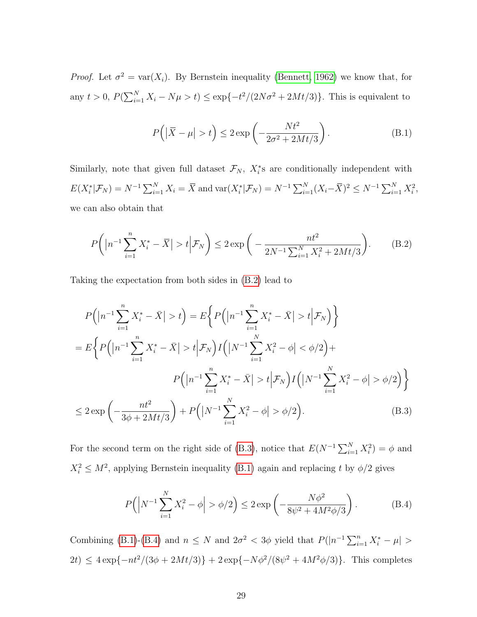*Proof.* Let  $\sigma^2 = \text{var}(X_i)$ . By Bernstein inequality [\(Bennett, 1962\)](#page-31-8) we know that, for any  $t > 0$ ,  $P(\sum_{i=1}^{N} X_i - N\mu > t) \le \exp\{-t^2/(2N\sigma^2 + 2Mt/3)\}\.$  This is equivalent to

$$
P(|\overline{X} - \mu| > t) \le 2 \exp\left(-\frac{Nt^2}{2\sigma^2 + 2Mt/3}\right). \tag{B.1}
$$

Similarly, note that given full dataset  $\mathcal{F}_N$ ,  $X_i^*$ s are conditionally independent with  $E(X_i^*|\mathcal{F}_N) = N^{-1} \sum_{i=1}^N X_i = \overline{X}$  and  $\text{var}(X_i^*|\mathcal{F}_N) = N^{-1} \sum_{i=1}^N (X_i - \overline{X})^2 \le N^{-1} \sum_{i=1}^N X_i^2$ , we can also obtain that

$$
P\left(\left|n^{-1}\sum_{i=1}^{n}X_{i}^{*}-\bar{X}\right|>t\Big| \mathcal{F}_{N}\right)\leq 2\exp\bigg(-\frac{nt^{2}}{2N^{-1}\sum_{i=1}^{N}X_{i}^{2}+2Mt/3}\bigg).
$$
 (B.2)

Taking the expectation from both sides in [\(B.2\)](#page-22-0) lead to

$$
P(|n^{-1}\sum_{i=1}^{n} X_{i}^{*} - \bar{X}| > t) = E\left\{ P(|n^{-1}\sum_{i=1}^{n} X_{i}^{*} - \bar{X}| > t | \mathcal{F}_{N}) \right\}
$$
  
= 
$$
E\left\{ P(|n^{-1}\sum_{i=1}^{n} X_{i}^{*} - \bar{X}| > t | \mathcal{F}_{N}) I(|N^{-1}\sum_{i=1}^{N} X_{i}^{2} - \phi| < \phi/2 \right) + P(|n^{-1}\sum_{i=1}^{n} X_{i}^{*} - \bar{X}| > t | \mathcal{F}_{N}) I(|N^{-1}\sum_{i=1}^{N} X_{i}^{2} - \phi| > \phi/2) \right\}
$$
  

$$
\leq 2 \exp\left(-\frac{nt^{2}}{3\phi + 2Mt/3}\right) + P(|N^{-1}\sum_{i=1}^{N} X_{i}^{2} - \phi| > \phi/2).
$$
 (B.3)

For the second term on the right side of [\(B.3\)](#page-23-0), notice that  $E(N^{-1}\sum_{i=1}^{N}X_i^2)=\phi$  and  $X_i^2 \leq M^2$ , applying Bernstein inequality [\(B.1\)](#page-21-0) again and replacing t by  $\phi/2$  gives

$$
P(|N^{-1}\sum_{i=1}^{N} X_i^2 - \phi| > \phi/2) \le 2 \exp\left(-\frac{N\phi^2}{8\psi^2 + 4M^2\phi/3}\right).
$$
 (B.4)

Combining [\(B.1\)](#page-21-0)-[\(B.4\)](#page-23-1) and  $n \leq N$  and  $2\sigma^2 < 3\phi$  yield that  $P(|n^{-1}\sum_{i=1}^n X_i^* - \mu| >$  $2t \leq 4 \exp\{-nt^2/(3\phi + 2Mt/3)\} + 2 \exp\{-N\phi^2/(8\psi^2 + 4M^2\phi/3)\}.$  This completes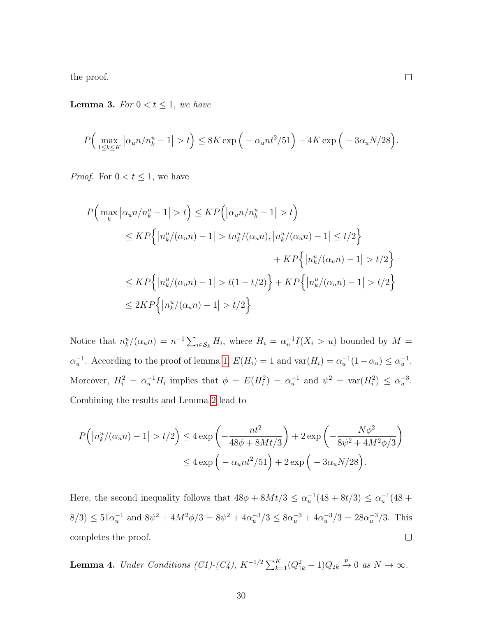the proof.

<span id="page-29-1"></span>**Lemma 3.** For  $0 < t \leq 1$ , we have

$$
P\Big(\max_{1\leq k\leq K} \left|\alpha_u n/n_k^u - 1\right| > t\Big) \leq 8K \exp\Big(-\alpha_u nt^2/51\Big) + 4K \exp\Big(-3\alpha_u N/28\Big).
$$

 $\Box$ 

*Proof.* For  $0 < t \leq 1$ , we have

$$
P\Big(\max_{k} |\alpha_{u}n/n_{k}^{u} - 1| > t\Big) \le KP\Big(|\alpha_{u}n/n_{k}^{u} - 1| > t\Big)
$$
  
\n
$$
\le KP\Big\{ |n_{k}^{u}/(\alpha_{u}n) - 1| > tn_{k}^{u}/(\alpha_{u}n), |n_{k}^{u}/(\alpha_{u}n) - 1| \le t/2\Big\}
$$
  
\n
$$
+ KP\Big\{ |n_{k}^{u}/(\alpha_{u}n) - 1| > t/2\Big\}
$$
  
\n
$$
\le KP\Big\{ |n_{k}^{u}/(\alpha_{u}n) - 1| > t(1 - t/2)\Big\} + KP\Big\{ |n_{k}^{u}/(\alpha_{u}n) - 1| > t/2\Big\}
$$
  
\n
$$
\le 2KP\Big\{ |n_{k}^{u}/(\alpha_{u}n) - 1| > t/2\Big\}
$$

Notice that  $n_k^u/(\alpha_u n) = n^{-1} \sum_{i \in S_k} H_i$ , where  $H_i = \alpha_u^{-1} I(X_i > u)$  bounded by  $M =$  $\alpha_u^{-1}$ . According to the proof of lemma [1,](#page-26-0)  $E(H_i) = 1$  and  $\text{var}(H_i) = \alpha_u^{-1}(1 - \alpha_u) \leq \alpha_u^{-1}$ . Moreover,  $H_i^2 = \alpha_u^{-1} H_i$  implies that  $\phi = E(H_i^2) = \alpha_u^{-1}$  and  $\psi^2 = \text{var}(H_i^2) \leq \alpha_u^{-3}$ . Combining the results and Lemma [2](#page-27-0) lead to

$$
P\left(\left|n_k^u/(\alpha_u n) - 1\right| > t/2\right) \le 4 \exp\left(-\frac{nt^2}{48\phi + 8Mt/3}\right) + 2 \exp\left(-\frac{N\phi^2}{8\psi^2 + 4M^2\phi/3}\right) \le 4 \exp\left(-\alpha_u nt^2/51\right) + 2 \exp\left(-3\alpha_u N/28\right).
$$

Here, the second inequality follows that  $48\phi + 8Mt/3 \leq \alpha_u^{-1}(48 + 8t/3) \leq \alpha_u^{-1}(48 +$  $8/3 \leq 51\alpha_u^{-1}$  and  $8\psi^2 + 4M^2\phi/3 = 8\psi^2 + 4\alpha_u^{-3}/3 \leq 8\alpha_u^{-3} + 4\alpha_u^{-3}/3 = 28\alpha_u^{-3}/3$ . This completes the proof.  $\Box$ 

<span id="page-29-0"></span>**Lemma 4.** Under Conditions (C1)-(C4),  $K^{-1/2} \sum_{k=1}^{K} (Q_{1k}^2 - 1) Q_{2k} \stackrel{p}{\rightarrow} 0$  as  $N \rightarrow \infty$ .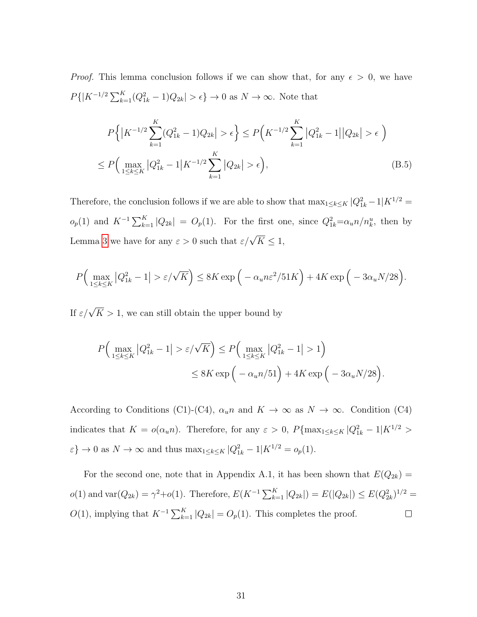*Proof.* This lemma conclusion follows if we can show that, for any  $\epsilon > 0$ , we have  $P\{|K^{-1/2}\sum_{k=1}^K (Q_{1k}^2 - 1)Q_{2k}| > \epsilon\} \to 0$  as  $N \to \infty$ . Note that

$$
P\left\{|K^{-1/2}\sum_{k=1}^{K}(Q_{1k}^{2}-1)Q_{2k}|>\epsilon\right\} \le P\left(K^{-1/2}\sum_{k=1}^{K}|Q_{1k}^{2}-1||Q_{2k}|>\epsilon\right)
$$
  

$$
\le P\left(\max_{1\le k\le K}|Q_{1k}^{2}-1|K^{-1/2}\sum_{k=1}^{K}|Q_{2k}|>\epsilon\right),
$$
 (B.5)

Therefore, the conclusion follows if we are able to show that  $\max_{1 \leq k \leq K} |Q_{1k}^2 - 1|K^{1/2} =$  $o_p(1)$  and  $K^{-1}\sum_{k=1}^K |Q_{2k}| = O_p(1)$ . For the first one, since  $Q_{1k}^2 = \alpha_u n/n_k^u$ , then by Lemma [3](#page-29-1) we have for any  $\varepsilon > 0$  such that  $\varepsilon/\sqrt{K} \leq 1$ ,

$$
P\Big(\max_{1\leq k\leq K} |Q_{1k}^2 - 1| > \varepsilon/\sqrt{K}\Big) \leq 8K \exp\Big(-\alpha_u n \varepsilon^2/51K\Big) + 4K \exp\Big(-3\alpha_u N/28\Big).
$$

If  $\varepsilon/\sqrt{K} > 1$ , we can still obtain the upper bound by

$$
P\Big(\max_{1\leq k\leq K} |Q_{1k}^2 - 1| > \varepsilon/\sqrt{K}\Big) \leq P\Big(\max_{1\leq k\leq K} |Q_{1k}^2 - 1| > 1\Big) \\
\leq 8K \exp\Big(-\alpha_u n/51\Big) + 4K \exp\Big(-3\alpha_u N/28\Big).
$$

According to Conditions (C1)-(C4),  $\alpha_u n$  and  $K \to \infty$  as  $N \to \infty$ . Condition (C4) indicates that  $K = o(\alpha_u n)$ . Therefore, for any  $\varepsilon > 0$ ,  $P\{\max_{1 \leq k \leq K} |Q_{1k}^2 - 1|K^{1/2} >$  $\varepsilon$ }  $\to 0$  as  $N \to \infty$  and thus  $\max_{1 \leq k \leq K} |Q_{1k}^2 - 1| K^{1/2} = o_p(1)$ .

For the second one, note that in Appendix A.1, it has been shown that  $E(Q_{2k}) =$  $o(1)$  and  $var(Q_{2k}) = \gamma^2 + o(1)$ . Therefore,  $E(K^{-1} \sum_{k=1}^{K} |Q_{2k}|) = E(|Q_{2k}|) \leq E(Q_{2k}^2)^{1/2} =$  $O(1)$ , implying that  $K^{-1} \sum_{k=1}^{K} |Q_{2k}| = O_p(1)$ . This completes the proof.  $\Box$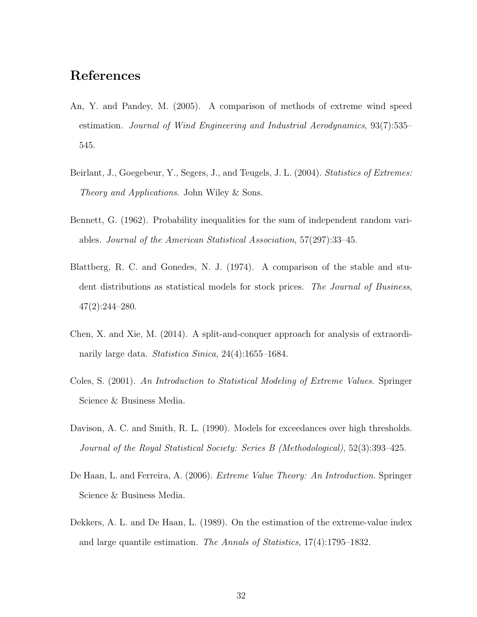## References

- <span id="page-31-0"></span>An, Y. and Pandey, M. (2005). A comparison of methods of extreme wind speed estimation. Journal of Wind Engineering and Industrial Aerodynamics, 93(7):535– 545.
- <span id="page-31-2"></span>Beirlant, J., Goegebeur, Y., Segers, J., and Teugels, J. L. (2004). Statistics of Extremes: Theory and Applications. John Wiley & Sons.
- <span id="page-31-8"></span>Bennett, G. (1962). Probability inequalities for the sum of independent random variables. Journal of the American Statistical Association, 57(297):33–45.
- <span id="page-31-7"></span>Blattberg, R. C. and Gonedes, N. J. (1974). A comparison of the stable and student distributions as statistical models for stock prices. The Journal of Business, 47(2):244–280.
- <span id="page-31-5"></span>Chen, X. and Xie, M. (2014). A split-and-conquer approach for analysis of extraordinarily large data. Statistica Sinica, 24(4):1655–1684.
- <span id="page-31-1"></span>Coles, S. (2001). An Introduction to Statistical Modeling of Extreme Values. Springer Science & Business Media.
- <span id="page-31-6"></span>Davison, A. C. and Smith, R. L. (1990). Models for exceedances over high thresholds. Journal of the Royal Statistical Society: Series B (Methodological), 52(3):393–425.
- <span id="page-31-3"></span>De Haan, L. and Ferreira, A. (2006). Extreme Value Theory: An Introduction. Springer Science & Business Media.
- <span id="page-31-4"></span>Dekkers, A. L. and De Haan, L. (1989). On the estimation of the extreme-value index and large quantile estimation. The Annals of Statistics, 17(4):1795–1832.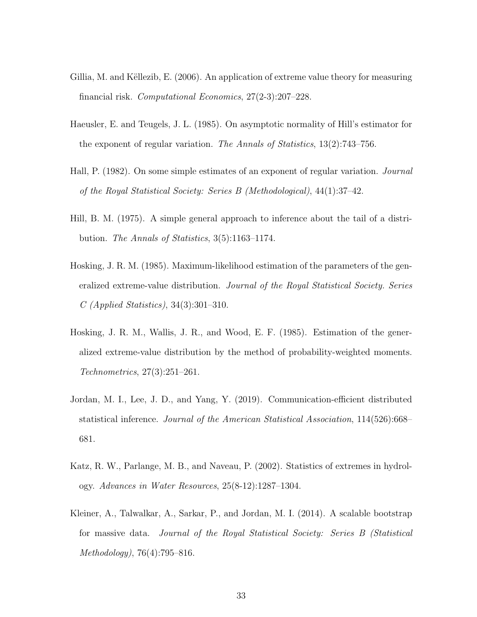- <span id="page-32-0"></span>Gillia, M. and Këllezib, E. (2006). An application of extreme value theory for measuring financial risk. Computational Economics, 27(2-3):207–228.
- <span id="page-32-4"></span>Haeusler, E. and Teugels, J. L. (1985). On asymptotic normality of Hill's estimator for the exponent of regular variation. The Annals of Statistics,  $13(2)$ :743–756.
- <span id="page-32-2"></span>Hall, P. (1982). On some simple estimates of an exponent of regular variation. *Journal* of the Royal Statistical Society: Series B (Methodological), 44(1):37–42.
- <span id="page-32-3"></span>Hill, B. M. (1975). A simple general approach to inference about the tail of a distribution. The Annals of Statistics, 3(5):1163–1174.
- <span id="page-32-5"></span>Hosking, J. R. M. (1985). Maximum-likelihood estimation of the parameters of the generalized extreme-value distribution. Journal of the Royal Statistical Society. Series C (Applied Statistics), 34(3):301–310.
- <span id="page-32-6"></span>Hosking, J. R. M., Wallis, J. R., and Wood, E. F. (1985). Estimation of the generalized extreme-value distribution by the method of probability-weighted moments. Technometrics, 27(3):251–261.
- <span id="page-32-7"></span>Jordan, M. I., Lee, J. D., and Yang, Y. (2019). Communication-efficient distributed statistical inference. Journal of the American Statistical Association, 114(526):668– 681.
- <span id="page-32-1"></span>Katz, R. W., Parlange, M. B., and Naveau, P. (2002). Statistics of extremes in hydrology. Advances in Water Resources, 25(8-12):1287–1304.
- <span id="page-32-8"></span>Kleiner, A., Talwalkar, A., Sarkar, P., and Jordan, M. I. (2014). A scalable bootstrap for massive data. Journal of the Royal Statistical Society: Series B (Statistical Methodology), 76(4):795–816.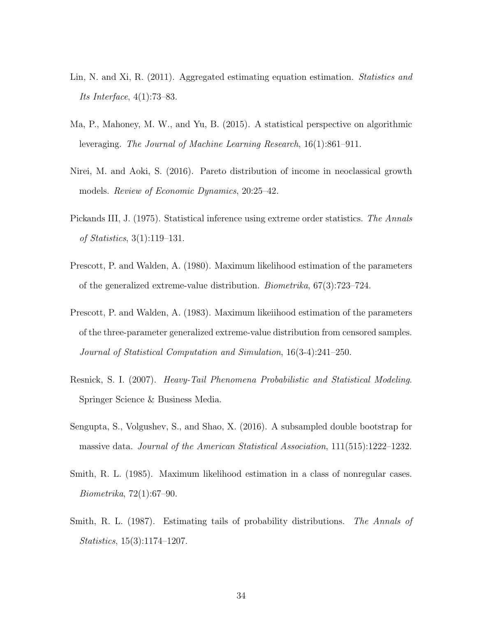- <span id="page-33-3"></span>Lin, N. and Xi, R. (2011). Aggregated estimating equation estimation. *Statistics and* Its Interface, 4(1):73–83.
- <span id="page-33-4"></span>Ma, P., Mahoney, M. W., and Yu, B. (2015). A statistical perspective on algorithmic leveraging. The Journal of Machine Learning Research, 16(1):861–911.
- <span id="page-33-9"></span>Nirei, M. and Aoki, S. (2016). Pareto distribution of income in neoclassical growth models. Review of Economic Dynamics, 20:25–42.
- <span id="page-33-6"></span>Pickands III, J. (1975). Statistical inference using extreme order statistics. The Annals of Statistics, 3(1):119–131.
- <span id="page-33-0"></span>Prescott, P. and Walden, A. (1980). Maximum likelihood estimation of the parameters of the generalized extreme-value distribution. Biometrika, 67(3):723–724.
- <span id="page-33-1"></span>Prescott, P. and Walden, A. (1983). Maximum likeiihood estimation of the parameters of the three-parameter generalized extreme-value distribution from censored samples. Journal of Statistical Computation and Simulation, 16(3-4):241–250.
- <span id="page-33-8"></span>Resnick, S. I. (2007). Heavy-Tail Phenomena Probabilistic and Statistical Modeling. Springer Science & Business Media.
- <span id="page-33-5"></span>Sengupta, S., Volgushev, S., and Shao, X. (2016). A subsampled double bootstrap for massive data. Journal of the American Statistical Association, 111(515):1222–1232.
- <span id="page-33-2"></span>Smith, R. L. (1985). Maximum likelihood estimation in a class of nonregular cases. Biometrika, 72(1):67–90.
- <span id="page-33-7"></span>Smith, R. L. (1987). Estimating tails of probability distributions. The Annals of Statistics, 15(3):1174–1207.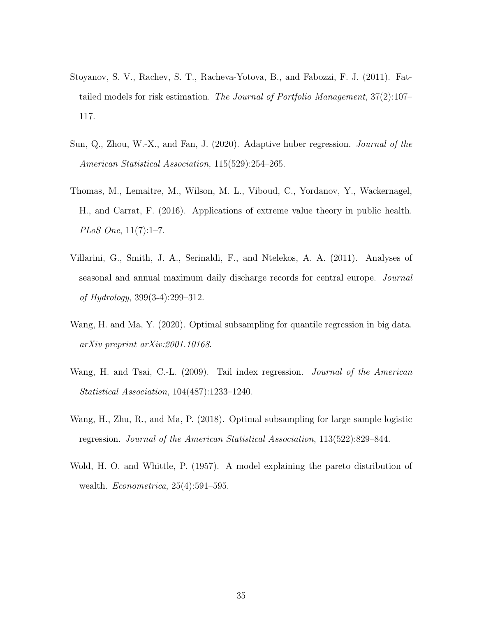- <span id="page-34-6"></span>Stoyanov, S. V., Rachev, S. T., Racheva-Yotova, B., and Fabozzi, F. J. (2011). Fattailed models for risk estimation. The Journal of Portfolio Management, 37(2):107– 117.
- <span id="page-34-3"></span>Sun, Q., Zhou, W.-X., and Fan, J. (2020). Adaptive huber regression. *Journal of the* American Statistical Association, 115(529):254–265.
- <span id="page-34-0"></span>Thomas, M., Lemaitre, M., Wilson, M. L., Viboud, C., Yordanov, Y., Wackernagel, H., and Carrat, F. (2016). Applications of extreme value theory in public health. PLoS One, 11(7):1–7.
- <span id="page-34-1"></span>Villarini, G., Smith, J. A., Serinaldi, F., and Ntelekos, A. A. (2011). Analyses of seasonal and annual maximum daily discharge records for central europe. Journal of Hydrology, 399(3-4):299–312.
- <span id="page-34-5"></span>Wang, H. and Ma, Y. (2020). Optimal subsampling for quantile regression in big data. arXiv preprint arXiv:2001.10168.
- <span id="page-34-2"></span>Wang, H. and Tsai, C.-L. (2009). Tail index regression. *Journal of the American* Statistical Association, 104(487):1233–1240.
- <span id="page-34-4"></span>Wang, H., Zhu, R., and Ma, P. (2018). Optimal subsampling for large sample logistic regression. Journal of the American Statistical Association, 113(522):829–844.
- <span id="page-34-7"></span>Wold, H. O. and Whittle, P. (1957). A model explaining the pareto distribution of wealth. *Econometrica*, 25(4):591-595.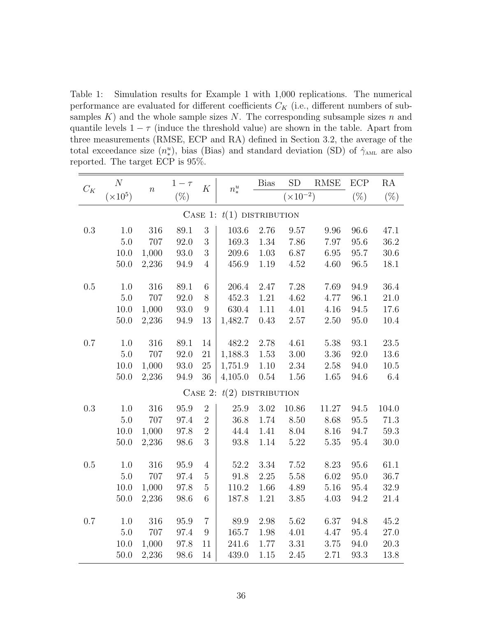Table 1: Simulation results for Example 1 with 1,000 replications. The numerical performance are evaluated for different coefficients  $C_K$  (i.e., different numbers of subsamples  $K$ ) and the whole sample sizes N. The corresponding subsample sizes n and quantile levels  $1 - \tau$  (induce the threshold value) are shown in the table. Apart from three measurements (RMSE, ECP and RA) defined in Section 3.2, the average of the total exceedance size  $(n^u_*)$ , bias (Bias) and standard deviation (SD) of  $\hat{\gamma}_{\text{AML}}$  are also reported. The target ECP is 95%.

| $C_K$                       | $\cal N$        | $\boldsymbol{n}$ | $1-\tau$ | $\cal K$         | $n_*^u$   | <b>Bias</b> | SD                 | RMSE     | ECP      | RA       |
|-----------------------------|-----------------|------------------|----------|------------------|-----------|-------------|--------------------|----------|----------|----------|
|                             | $(\times 10^5)$ |                  | $(\%)$   |                  |           |             | $(\times 10^{-2})$ |          | $(\%)$   | $(\%)$   |
| CASE 1: $t(1)$ DISTRIBUTION |                 |                  |          |                  |           |             |                    |          |          |          |
| $\rm 0.3$                   | 1.0             | 316              | 89.1     | 3                | 103.6     | 2.76        | 9.57               | 9.96     | 96.6     | 47.1     |
|                             | 5.0             | 707              | 92.0     | 3                | 169.3     | 1.34        | 7.86               | 7.97     | 95.6     | 36.2     |
|                             | 10.0            | 1,000            | 93.0     | $\overline{3}$   | 209.6     | $1.03\,$    | 6.87               | 6.95     | 95.7     | 30.6     |
|                             | $50.0\,$        | 2,236            | 94.9     | $\overline{4}$   | 456.9     | 1.19        | 4.52               | 4.60     | $96.5\,$ | 18.1     |
| $0.5\,$                     | 1.0             | 316              | $89.1\,$ | $\,6$            | $206.4\,$ | 2.47        | 7.28               | 7.69     | 94.9     | 36.4     |
|                             | 5.0             | 707              | 92.0     | $8\,$            | 452.3     | $1.21\,$    | 4.62               | 4.77     | 96.1     | $21.0\,$ |
|                             | 10.0            | 1,000            | 93.0     | $\overline{9}$   | 630.4     | 1.11        | 4.01               | 4.16     | 94.5     | 17.6     |
|                             | 50.0            | 2,236            | 94.9     | 13               | 1,482.7   | 0.43        | 2.57               | 2.50     | 95.0     | 10.4     |
| 0.7                         | 1.0             | 316              | $89.1\,$ | 14               | 482.2     | 2.78        | 4.61               | 5.38     | 93.1     | 23.5     |
|                             | $5.0\,$         | 707              | 92.0     | $21\,$           | 1,188.3   | 1.53        | $3.00\,$           | $3.36\,$ | 92.0     | 13.6     |
|                             | $10.0\,$        | 1,000            | $93.0\,$ | $25\,$           | 1,751.9   | $1.10\,$    | $2.34\,$           | $2.58\,$ | 94.0     | $10.5\,$ |
|                             | $50.0$          | 2,236            | 94.9     | 36               | 4,105.0   | $0.54\,$    | 1.56               | 1.65     | 94.6     | 6.4      |
| CASE 2: $t(2)$ DISTRIBUTION |                 |                  |          |                  |           |             |                    |          |          |          |
| $0.3\,$                     | 1.0             | 316              | 95.9     | $\overline{2}$   | 25.9      | 3.02        | 10.86              | 11.27    | 94.5     | 104.0    |
|                             | $5.0\,$         | 707              | 97.4     | $\overline{2}$   | 36.8      | 1.74        | 8.50               | 8.68     | 95.5     | 71.3     |
|                             | 10.0            | 1,000            | 97.8     | $\sqrt{2}$       | 44.4      | 1.41        | $8.04\,$           | 8.16     | 94.7     | $59.3\,$ |
|                             | $50.0\,$        | 2,236            | 98.6     | 3                | $93.8\,$  | 1.14        | $5.22\,$           | $5.35\,$ | $95.4\,$ | 30.0     |
| $0.5\,$                     | 1.0             | 316              | 95.9     | $\overline{4}$   | $52.2\,$  | 3.34        | 7.52               | 8.23     | 95.6     | 61.1     |
|                             | 5.0             | 707              | 97.4     | $\overline{5}$   | 91.8      | $2.25\,$    | 5.58               | 6.02     | 95.0     | 36.7     |
|                             | 10.0            | 1,000            | 97.8     | $\overline{5}$   | 110.2     | 1.66        | 4.89               | $5.16\,$ | 95.4     | 32.9     |
|                             | $50.0$          | 2,236            | 98.6     | $\boldsymbol{6}$ | 187.8     | 1.21        | 3.85               | 4.03     | 94.2     | $21.4\,$ |
| $0.7\,$                     | $1.0\,$         | 316              | 95.9     | $\overline{7}$   | 89.9      | 2.98        | 5.62               | 6.37     | 94.8     | 45.2     |
|                             | 5.0             | 707              | 97.4     | $\boldsymbol{9}$ | 165.7     | 1.98        | 4.01               | 4.47     | $95.4\,$ | $27.0\,$ |
|                             | 10.0            | 1,000            | 97.8     | 11               | 241.6     | 1.77        | 3.31               | 3.75     | 94.0     | 20.3     |
|                             | 50.0            | 2,236            | 98.6     | 14               | 439.0     | 1.15        | 2.45               | 2.71     | 93.3     | 13.8     |
|                             |                 |                  |          |                  |           |             |                    |          |          |          |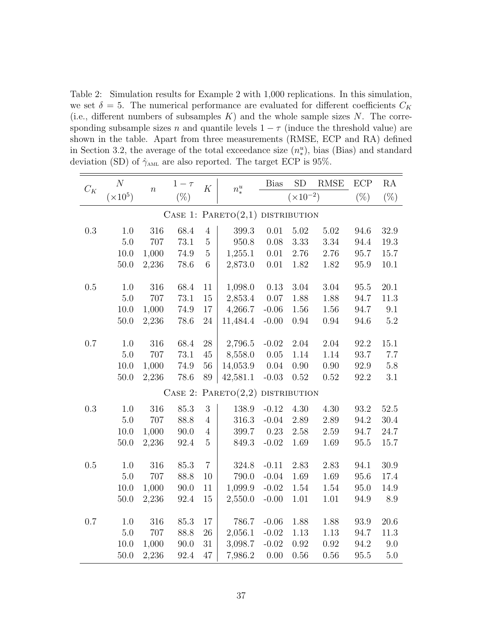Table 2: Simulation results for Example 2 with 1,000 replications. In this simulation, we set  $\delta = 5$ . The numerical performance are evaluated for different coefficients  $C_K$ (i.e., different numbers of subsamples  $K$ ) and the whole sample sizes N. The corresponding subsample sizes n and quantile levels  $1 - \tau$  (induce the threshold value) are shown in the table. Apart from three measurements (RMSE, ECP and RA) defined in Section 3.2, the average of the total exceedance size  $(n_*^u)$ , bias (Bias) and standard deviation (SD) of  $\hat{\gamma}_{AML}$  are also reported. The target ECP is 95%.

| $C_K$   | $\cal N$                                              | $\boldsymbol{n}$ | $1-\tau$ | $\cal K$       | $n_*^u$   | <b>Bias</b> | SD                 | $\operatorname{RMSE}$ | ECP      | RA       |
|---------|-------------------------------------------------------|------------------|----------|----------------|-----------|-------------|--------------------|-----------------------|----------|----------|
|         | $(\times 10^5)$                                       |                  | $(\%)$   |                |           |             | $(\times 10^{-2})$ |                       | $(\%)$   | $(\%)$   |
|         | CASE 1: PARETO $(2,1)$ DISTRIBUTION                   |                  |          |                |           |             |                    |                       |          |          |
| $0.3\,$ | 1.0                                                   | 316              | 68.4     | $\overline{4}$ | 399.3     | 0.01        | 5.02               | 5.02                  | 94.6     | 32.9     |
|         | 5.0                                                   | 707              | 73.1     | $\overline{5}$ | 950.8     | 0.08        | 3.33               | 3.34                  | 94.4     | 19.3     |
|         | 10.0                                                  | 1,000            | 74.9     | $\overline{5}$ | 1,255.1   | $0.01\,$    | 2.76               | 2.76                  | 95.7     | 15.7     |
|         | $50.0\,$                                              | 2,236            | $78.6\,$ | $\,6$          | 2,873.0   | $0.01\,$    | 1.82               | 1.82                  | 95.9     | 10.1     |
| $0.5\,$ | 1.0                                                   | $316\,$          | 68.4     | 11             | 1,098.0   | 0.13        | $3.04\,$           | $3.04\,$              | $95.5\,$ | $20.1\,$ |
|         | 5.0                                                   | 707              | 73.1     | 15             | 2,853.4   | 0.07        | 1.88               | 1.88                  | 94.7     | 11.3     |
|         | $10.0\,$                                              | 1,000            | 74.9     | $17\,$         | 4,266.7   | $-0.06$     | 1.56               | 1.56                  | 94.7     | 9.1      |
|         | $50.0$                                                | 2,236            | 78.6     | $24\,$         | 11,484.4  | $-0.00$     | 0.94               | 0.94                  | 94.6     | $5.2\,$  |
| 0.7     | $1.0\,$                                               | 316              | 68.4     | $28\,$         | 2,796.5   | $-0.02$     | 2.04               | 2.04                  | 92.2     | 15.1     |
|         | 5.0                                                   | 707              | $73.1\,$ | 45             | 8,558.0   | 0.05        | 1.14               | 1.14                  | 93.7     | $7.7\,$  |
|         | 10.0                                                  | 1,000            | 74.9     | 56             | 14,053.9  | 0.04        | 0.90               | 0.90                  | 92.9     | $5.8\,$  |
|         | $50.0\,$                                              | 2,236            | 78.6     | 89             | 42,581.1  | $-0.03$     | 0.52               | 0.52                  | 92.2     | 3.1      |
|         | PARENTO(2,2)<br>$\rm{Case}$ 2:<br><b>DISTRIBUTION</b> |                  |          |                |           |             |                    |                       |          |          |
| 0.3     | 1.0                                                   | 316              | 85.3     | 3              | 138.9     | $-0.12$     | 4.30               | 4.30                  | 93.2     | 52.5     |
|         | 5.0                                                   | 707              | 88.8     | $\overline{4}$ | 316.3     | $-0.04$     | 2.89               | 2.89                  | 94.2     | 30.4     |
|         | 10.0                                                  | 1,000            | 90.0     | $\overline{4}$ | 399.7     | 0.23        | 2.58               | 2.59                  | 94.7     | $24.7\,$ |
|         | $50.0\,$                                              | 2,236            | 92.4     | $\overline{5}$ | 849.3     | $-0.02$     | 1.69               | 1.69                  | $95.5\,$ | 15.7     |
| $0.5\,$ | $1.0\,$                                               | 316              | 85.3     | $\overline{7}$ | $324.8\,$ | $-0.11$     | 2.83               | 2.83                  | 94.1     | 30.9     |
|         | 5.0                                                   | 707              | 88.8     | 10             | 790.0     | $-0.04$     | 1.69               | 1.69                  | 95.6     | 17.4     |
|         | 10.0                                                  | 1,000            | 90.0     | 11             | 1,099.9   | $-0.02$     | 1.54               | 1.54                  | 95.0     | 14.9     |
|         | $50.0$                                                | 2,236            | 92.4     | $15\,$         | 2,550.0   | $-0.00$     | 1.01               | 1.01                  | 94.9     | 8.9      |
| $0.7\,$ | 1.0                                                   | $316\,$          | 85.3     | 17             | 786.7     | $-0.06$     | 1.88               | 1.88                  | 93.9     | $20.6\,$ |
|         | $5.0\,$                                               | 707              | 88.8     | $26\,$         | 2,056.1   | $-0.02$     | 1.13               | 1.13                  | 94.7     | 11.3     |
|         | 10.0                                                  | 1,000            | 90.0     | 31             | 3,098.7   | $-0.02$     | 0.92               | 0.92                  | 94.2     | 9.0      |
|         | 50.0                                                  | 2,236            | 92.4     | 47             | 7,986.2   | 0.00        | 0.56               | 0.56                  | 95.5     | 5.0      |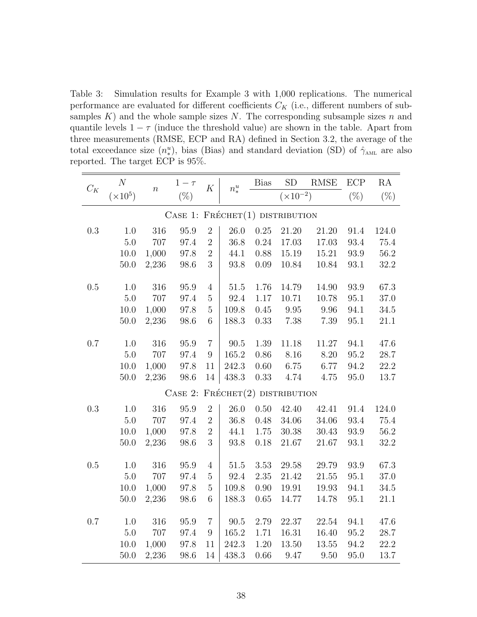Table 3: Simulation results for Example 3 with 1,000 replications. The numerical performance are evaluated for different coefficients  $C_K$  (i.e., different numbers of subsamples  $K$ ) and the whole sample sizes  $N$ . The corresponding subsample sizes  $n$  and quantile levels  $1 - \tau$  (induce the threshold value) are shown in the table. Apart from three measurements (RMSE, ECP and RA) defined in Section 3.2, the average of the total exceedance size  $(n^u_*)$ , bias (Bias) and standard deviation (SD) of  $\hat{\gamma}_{\text{AML}}$  are also reported. The target ECP is 95%.

| $C_K$                                 | $\cal N$        | $\overline{n}$ | $1-\tau$ | $\cal K$         | $n_*^u$   | <b>Bias</b> | SD                 | RMSE      | ECP      | RA       |  |
|---------------------------------------|-----------------|----------------|----------|------------------|-----------|-------------|--------------------|-----------|----------|----------|--|
|                                       | $(\times 10^5)$ |                | $(\%)$   |                  |           |             | $(\times 10^{-2})$ |           | $(\% )$  | $(\%)$   |  |
| CASE 1: $F$ RÉCHET $(1)$ DISTRIBUTION |                 |                |          |                  |           |             |                    |           |          |          |  |
| $\rm 0.3$                             | 1.0             | 316            | 95.9     | $\overline{2}$   | 26.0      | 0.25        | 21.20              | 21.20     | 91.4     | 124.0    |  |
|                                       | 5.0             | 707            | 97.4     | $\overline{2}$   | 36.8      | 0.24        | 17.03              | 17.03     | 93.4     | 75.4     |  |
|                                       | 10.0            | 1,000          | 97.8     | $\overline{2}$   | 44.1      | 0.88        | 15.19              | 15.21     | 93.9     | 56.2     |  |
|                                       | $50.0\,$        | 2,236          | 98.6     | 3                | $93.8\,$  | 0.09        | 10.84              | 10.84     | $93.1\,$ | 32.2     |  |
| $0.5\,$                               | 1.0             | 316            | 95.9     | $\overline{4}$   | $51.5\,$  | 1.76        | 14.79              | 14.90     | 93.9     | 67.3     |  |
|                                       | 5.0             | 707            | 97.4     | $\bf 5$          | 92.4      | 1.17        | 10.71              | 10.78     | 95.1     | 37.0     |  |
|                                       | 10.0            | 1,000          | $97.8\,$ | $\overline{5}$   | 109.8     | 0.45        | 9.95               | 9.96      | 94.1     | $34.5\,$ |  |
|                                       | 50.0            | 2,236          | 98.6     | 6                | 188.3     | 0.33        | 7.38               | 7.39      | 95.1     | 21.1     |  |
| 0.7                                   | 1.0             | 316            | 95.9     | $\overline{7}$   | 90.5      | 1.39        | 11.18              | $11.27\,$ | 94.1     | 47.6     |  |
|                                       | 5.0             | 707            | 97.4     | $\boldsymbol{9}$ | $165.2\,$ | 0.86        | 8.16               | 8.20      | 95.2     | 28.7     |  |
|                                       | 10.0            | 1,000          | 97.8     | 11               | 242.3     | $0.60\,$    | 6.75               | 6.77      | 94.2     | 22.2     |  |
|                                       | $50.0$          | 2,236          | 98.6     | 14               | 438.3     | 0.33        | 4.74               | 4.75      | 95.0     | 13.7     |  |
| CASE 2: $F$ RÉCHET $(2)$ DISTRIBUTION |                 |                |          |                  |           |             |                    |           |          |          |  |
| $0.3\,$                               | 1.0             | 316            | 95.9     | $\overline{2}$   | 26.0      | $0.50\,$    | 42.40              | 42.41     | 91.4     | 124.0    |  |
|                                       | 5.0             | 707            | 97.4     | $\overline{2}$   | 36.8      | 0.48        | $34.06\,$          | $34.06\,$ | 93.4     | 75.4     |  |
|                                       | 10.0            | 1,000          | 97.8     | $\sqrt{2}$       | 44.1      | 1.75        | 30.38              | 30.43     | 93.9     | 56.2     |  |
|                                       | $50.0$          | 2,236          | 98.6     | 3                | 93.8      | 0.18        | 21.67              | 21.67     | 93.1     | 32.2     |  |
| $0.5\,$                               | 1.0             | 316            | 95.9     | $\overline{4}$   | $51.5\,$  | $3.53\,$    | $29.58\,$          | 29.79     | 93.9     | 67.3     |  |
|                                       | 5.0             | 707            | 97.4     | $\bf 5$          | 92.4      | 2.35        | 21.42              | $21.55\,$ | 95.1     | 37.0     |  |
|                                       | 10.0            | 1,000          | 97.8     | $\bf 5$          | 109.8     | 0.90        | 19.91              | 19.93     | 94.1     | 34.5     |  |
|                                       | 50.0            | 2,236          | 98.6     | 6                | 188.3     | 0.65        | 14.77              | 14.78     | 95.1     | 21.1     |  |
| 0.7                                   | 1.0             | 316            | 95.9     | $\overline{7}$   | 90.5      | 2.79        | 22.37              | 22.54     | 94.1     | 47.6     |  |
|                                       | $5.0\,$         | 707            | 97.4     | $\boldsymbol{9}$ | 165.2     | 1.71        | $16.31\,$          | 16.40     | 95.2     | 28.7     |  |
|                                       | 10.0            | 1,000          | 97.8     | 11               | 242.3     | 1.20        | 13.50              | $13.55\,$ | 94.2     | 22.2     |  |
|                                       | 50.0            | 2,236          | 98.6     | 14               | 438.3     | $0.66\,$    | 9.47               | 9.50      | 95.0     | 13.7     |  |